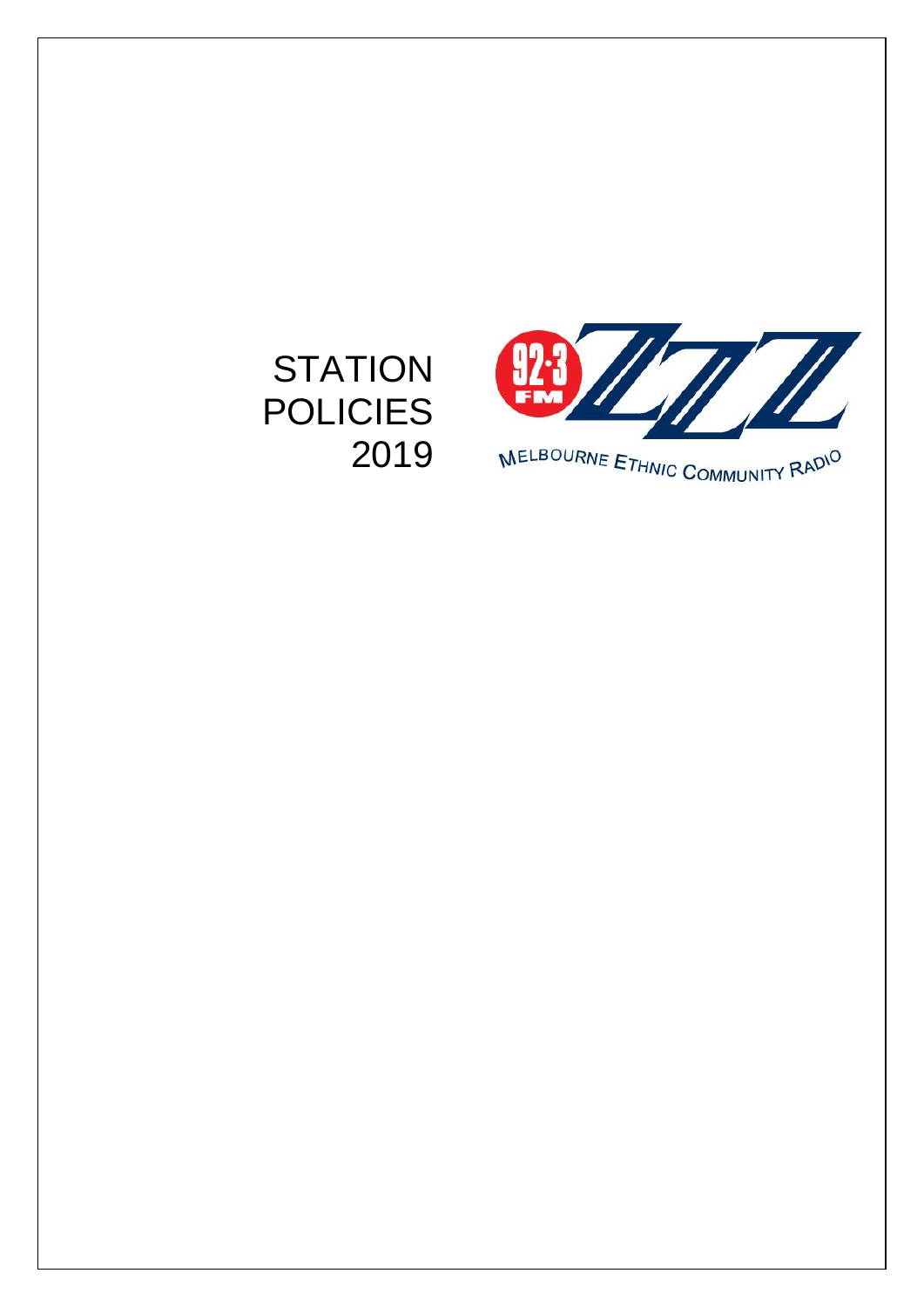# **STATION** POLICIES 2019



MELBOURNE ETHNIC COMMUNITY RADIO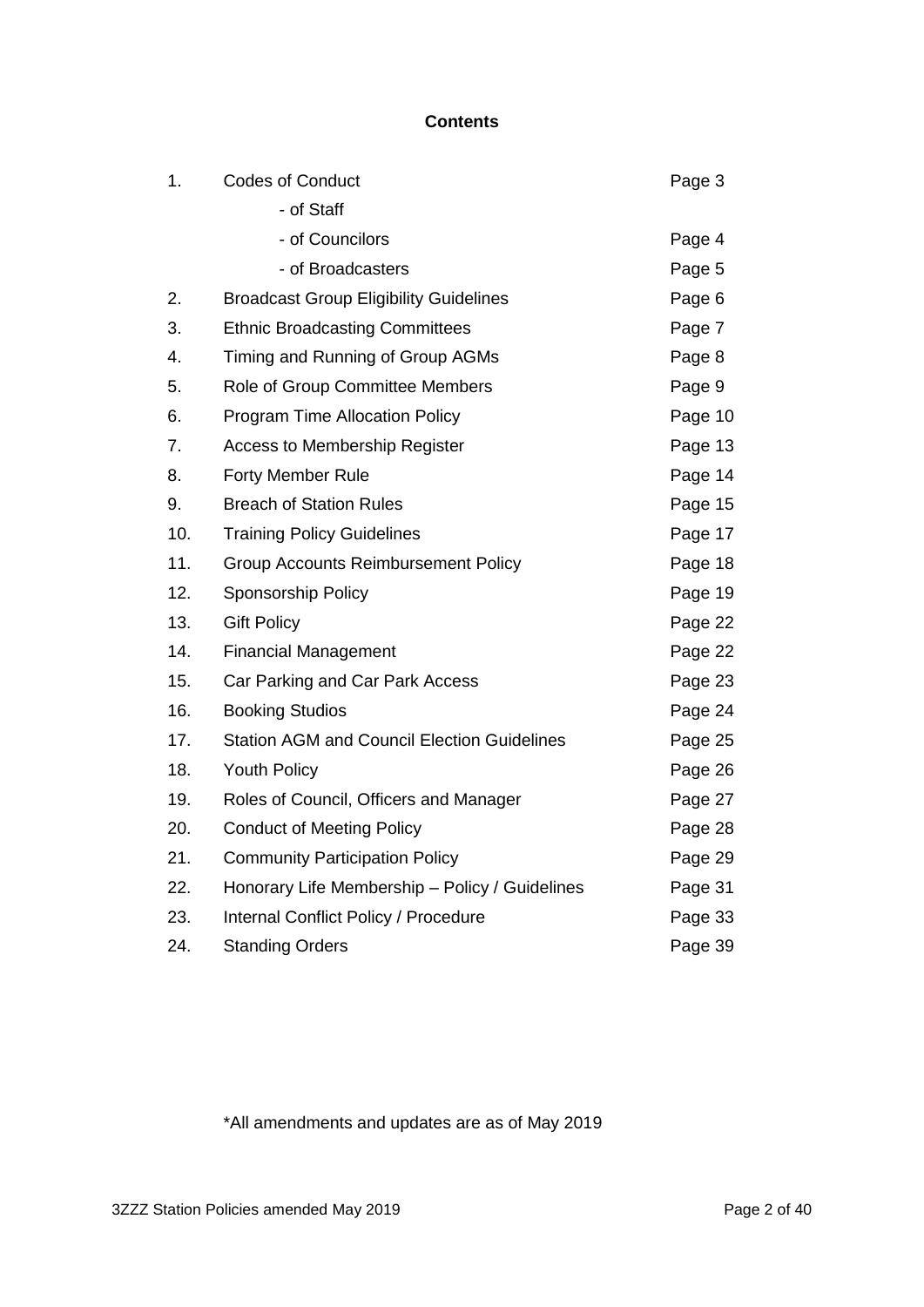#### **Contents**

| 1.  | <b>Codes of Conduct</b>                            | Page 3  |
|-----|----------------------------------------------------|---------|
|     | - of Staff                                         |         |
|     | - of Councilors                                    | Page 4  |
|     | - of Broadcasters                                  | Page 5  |
| 2.  | <b>Broadcast Group Eligibility Guidelines</b>      | Page 6  |
| 3.  | <b>Ethnic Broadcasting Committees</b>              | Page 7  |
| 4.  | Timing and Running of Group AGMs                   | Page 8  |
| 5.  | <b>Role of Group Committee Members</b>             | Page 9  |
| 6.  | <b>Program Time Allocation Policy</b>              | Page 10 |
| 7.  | Access to Membership Register                      | Page 13 |
| 8.  | <b>Forty Member Rule</b>                           | Page 14 |
| 9.  | <b>Breach of Station Rules</b>                     | Page 15 |
| 10. | <b>Training Policy Guidelines</b>                  | Page 17 |
| 11. | <b>Group Accounts Reimbursement Policy</b>         | Page 18 |
| 12. | Sponsorship Policy                                 | Page 19 |
| 13. | <b>Gift Policy</b>                                 | Page 22 |
| 14. | <b>Financial Management</b>                        | Page 22 |
| 15. | Car Parking and Car Park Access                    | Page 23 |
| 16. | <b>Booking Studios</b>                             | Page 24 |
| 17. | <b>Station AGM and Council Election Guidelines</b> | Page 25 |
| 18. | <b>Youth Policy</b>                                | Page 26 |
| 19. | Roles of Council, Officers and Manager             | Page 27 |
| 20. | <b>Conduct of Meeting Policy</b>                   | Page 28 |
| 21. | <b>Community Participation Policy</b>              | Page 29 |
| 22. | Honorary Life Membership - Policy / Guidelines     | Page 31 |
| 23. | Internal Conflict Policy / Procedure               | Page 33 |
| 24. | <b>Standing Orders</b>                             | Page 39 |

\*All amendments and updates are as of May 2019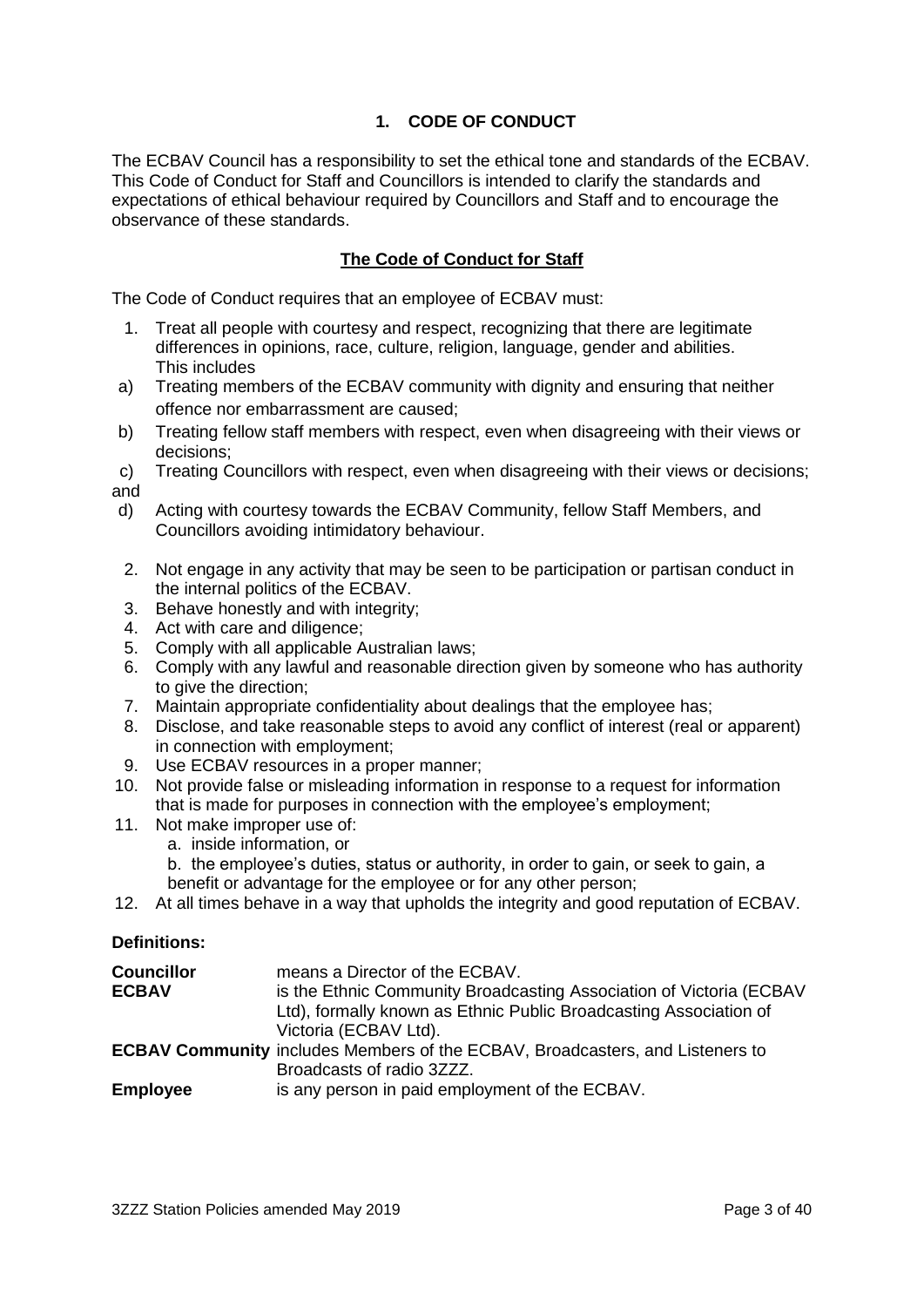# **1. CODE OF CONDUCT**

The ECBAV Council has a responsibility to set the ethical tone and standards of the ECBAV. This Code of Conduct for Staff and Councillors is intended to clarify the standards and expectations of ethical behaviour required by Councillors and Staff and to encourage the observance of these standards.

#### **The Code of Conduct for Staff**

The Code of Conduct requires that an employee of ECBAV must:

- 1. Treat all people with courtesy and respect, recognizing that there are legitimate differences in opinions, race, culture, religion, language, gender and abilities. This includes
- a) Treating members of the ECBAV community with dignity and ensuring that neither offence nor embarrassment are caused;
- b) Treating fellow staff members with respect, even when disagreeing with their views or decisions;
- c) Treating Councillors with respect, even when disagreeing with their views or decisions; and
- d) Acting with courtesy towards the ECBAV Community, fellow Staff Members, and Councillors avoiding intimidatory behaviour.
- 2. Not engage in any activity that may be seen to be participation or partisan conduct in the internal politics of the ECBAV.
- 3. Behave honestly and with integrity;
- 4. Act with care and diligence;
- 5. Comply with all applicable Australian laws;
- 6. Comply with any lawful and reasonable direction given by someone who has authority to give the direction;
- 7. Maintain appropriate confidentiality about dealings that the employee has;
- 8. Disclose, and take reasonable steps to avoid any conflict of interest (real or apparent) in connection with employment;
- 9. Use ECBAV resources in a proper manner;
- 10. Not provide false or misleading information in response to a request for information that is made for purposes in connection with the employee's employment;
- 11. Not make improper use of:
	- a. inside information, or
	- b. the employee's duties, status or authority, in order to gain, or seek to gain, a benefit or advantage for the employee or for any other person;
- 12. At all times behave in a way that upholds the integrity and good reputation of ECBAV.

#### **Definitions:**

| <b>Councillor</b> | means a Director of the ECBAV.                                                       |
|-------------------|--------------------------------------------------------------------------------------|
| <b>ECBAV</b>      | is the Ethnic Community Broadcasting Association of Victoria (ECBAV                  |
|                   | Ltd), formally known as Ethnic Public Broadcasting Association of                    |
|                   | Victoria (ECBAV Ltd).                                                                |
|                   | <b>ECBAV Community</b> includes Members of the ECBAV, Broadcasters, and Listeners to |
|                   | Broadcasts of radio 3ZZZ.                                                            |
| <b>Employee</b>   | is any person in paid employment of the ECBAV.                                       |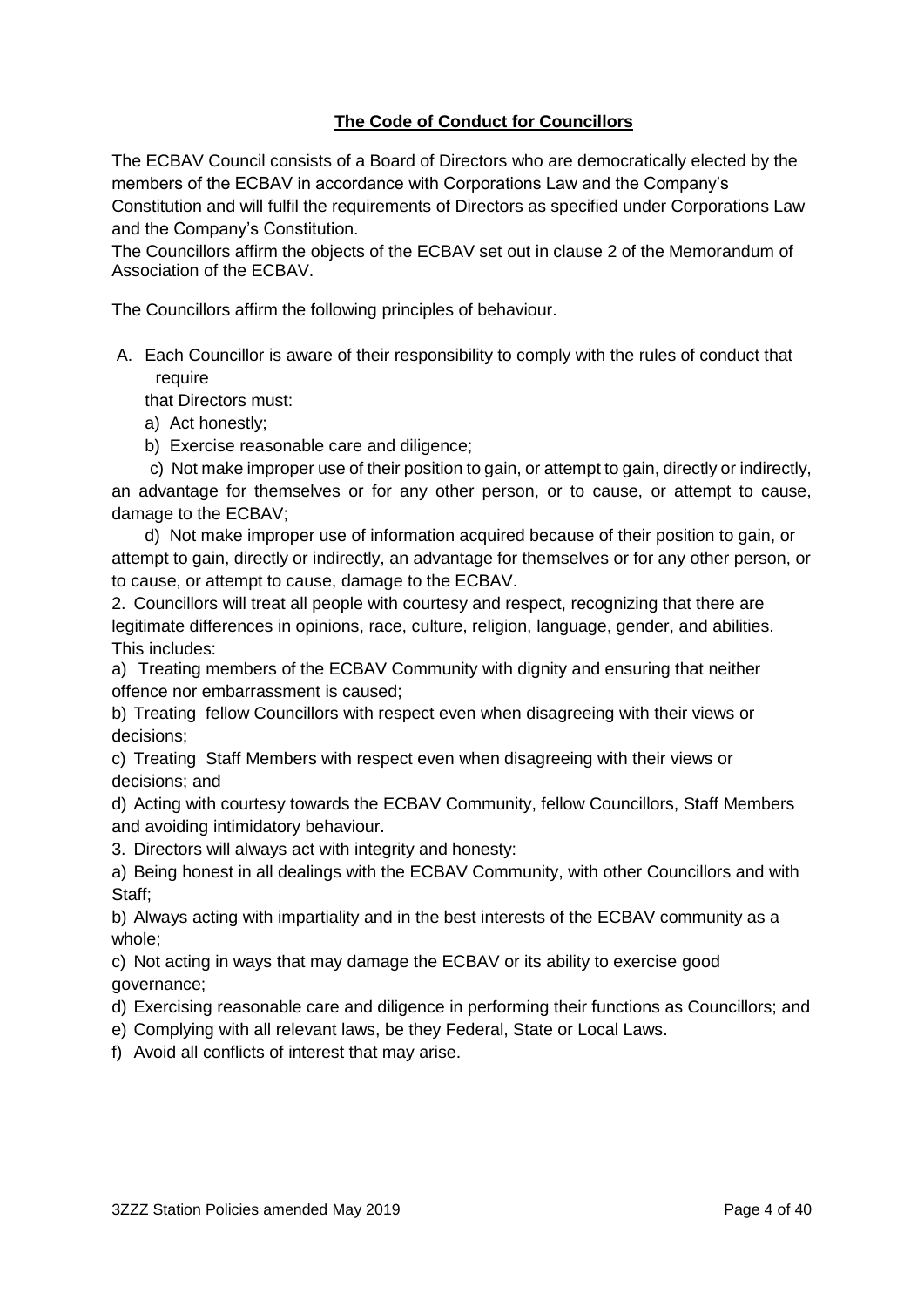# **The Code of Conduct for Councillors**

The ECBAV Council consists of a Board of Directors who are democratically elected by the members of the ECBAV in accordance with Corporations Law and the Company's Constitution and will fulfil the requirements of Directors as specified under Corporations Law and the Company's Constitution.

The Councillors affirm the objects of the ECBAV set out in clause 2 of the Memorandum of Association of the ECBAV.

The Councillors affirm the following principles of behaviour.

A. Each Councillor is aware of their responsibility to comply with the rules of conduct that require

that Directors must:

- a) Act honestly;
- b) Exercise reasonable care and diligence;

c) Not make improper use of their position to gain, or attempt to gain, directly or indirectly, an advantage for themselves or for any other person, or to cause, or attempt to cause, damage to the ECBAV;

d) Not make improper use of information acquired because of their position to gain, or attempt to gain, directly or indirectly, an advantage for themselves or for any other person, or to cause, or attempt to cause, damage to the ECBAV.

2. Councillors will treat all people with courtesy and respect, recognizing that there are legitimate differences in opinions, race, culture, religion, language, gender, and abilities. This includes:

a) Treating members of the ECBAV Community with dignity and ensuring that neither offence nor embarrassment is caused;

b) Treating fellow Councillors with respect even when disagreeing with their views or decisions;

c) Treating Staff Members with respect even when disagreeing with their views or decisions; and

d) Acting with courtesy towards the ECBAV Community, fellow Councillors, Staff Members and avoiding intimidatory behaviour.

3. Directors will always act with integrity and honesty:

a) Being honest in all dealings with the ECBAV Community, with other Councillors and with Staff;

b) Always acting with impartiality and in the best interests of the ECBAV community as a whole;

c) Not acting in ways that may damage the ECBAV or its ability to exercise good governance;

d) Exercising reasonable care and diligence in performing their functions as Councillors; and

- e) Complying with all relevant laws, be they Federal, State or Local Laws.
- f) Avoid all conflicts of interest that may arise.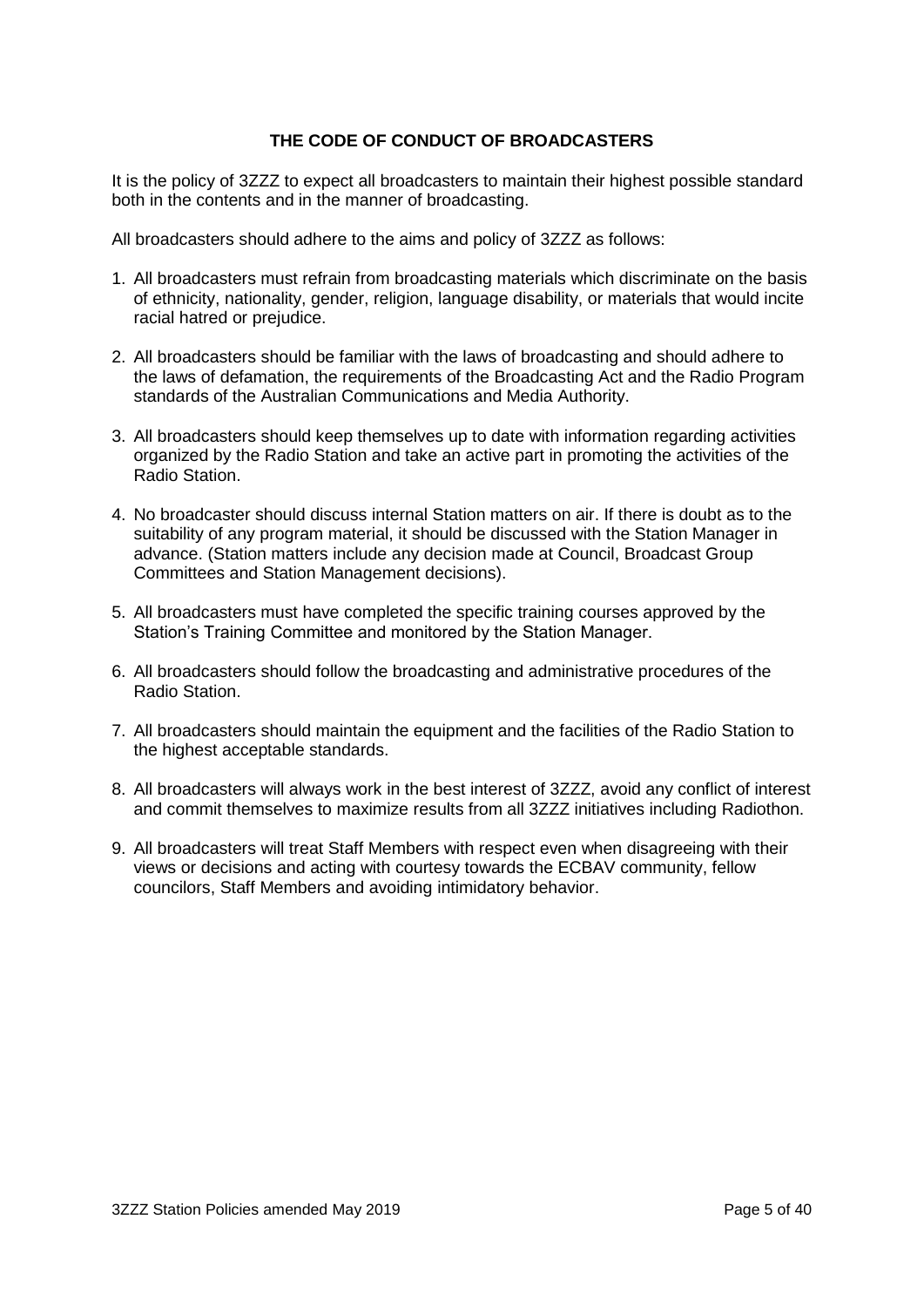#### **THE CODE OF CONDUCT OF BROADCASTERS**

It is the policy of 3ZZZ to expect all broadcasters to maintain their highest possible standard both in the contents and in the manner of broadcasting.

All broadcasters should adhere to the aims and policy of 3ZZZ as follows:

- 1. All broadcasters must refrain from broadcasting materials which discriminate on the basis of ethnicity, nationality, gender, religion, language disability, or materials that would incite racial hatred or prejudice.
- 2. All broadcasters should be familiar with the laws of broadcasting and should adhere to the laws of defamation, the requirements of the Broadcasting Act and the Radio Program standards of the Australian Communications and Media Authority.
- 3. All broadcasters should keep themselves up to date with information regarding activities organized by the Radio Station and take an active part in promoting the activities of the Radio Station.
- 4. No broadcaster should discuss internal Station matters on air. If there is doubt as to the suitability of any program material, it should be discussed with the Station Manager in advance. (Station matters include any decision made at Council, Broadcast Group Committees and Station Management decisions).
- 5. All broadcasters must have completed the specific training courses approved by the Station's Training Committee and monitored by the Station Manager.
- 6. All broadcasters should follow the broadcasting and administrative procedures of the Radio Station.
- 7. All broadcasters should maintain the equipment and the facilities of the Radio Station to the highest acceptable standards.
- 8. All broadcasters will always work in the best interest of 3ZZZ, avoid any conflict of interest and commit themselves to maximize results from all 3ZZZ initiatives including Radiothon.
- 9. All broadcasters will treat Staff Members with respect even when disagreeing with their views or decisions and acting with courtesy towards the ECBAV community, fellow councilors, Staff Members and avoiding intimidatory behavior.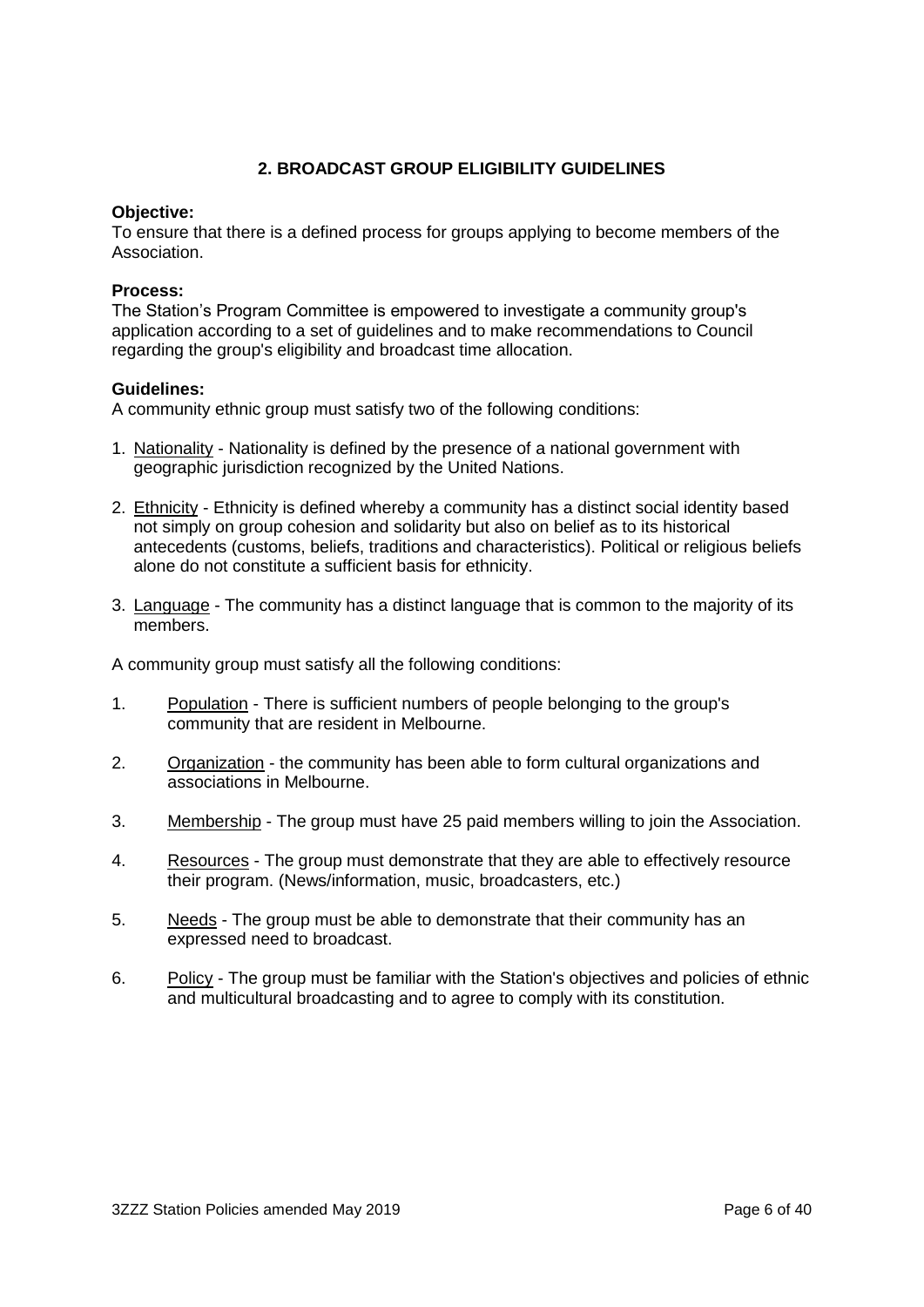#### **2. BROADCAST GROUP ELIGIBILITY GUIDELINES**

#### **Objective:**

To ensure that there is a defined process for groups applying to become members of the Association.

#### **Process:**

The Station's Program Committee is empowered to investigate a community group's application according to a set of guidelines and to make recommendations to Council regarding the group's eligibility and broadcast time allocation.

#### **Guidelines:**

A community ethnic group must satisfy two of the following conditions:

- 1. Nationality Nationality is defined by the presence of a national government with geographic jurisdiction recognized by the United Nations.
- 2. Ethnicity Ethnicity is defined whereby a community has a distinct social identity based not simply on group cohesion and solidarity but also on belief as to its historical antecedents (customs, beliefs, traditions and characteristics). Political or religious beliefs alone do not constitute a sufficient basis for ethnicity.
- 3. Language The community has a distinct language that is common to the majority of its members.

A community group must satisfy all the following conditions:

- 1. Population There is sufficient numbers of people belonging to the group's community that are resident in Melbourne.
- 2. Organization the community has been able to form cultural organizations and associations in Melbourne.
- 3. Membership The group must have 25 paid members willing to join the Association.
- 4. Resources The group must demonstrate that they are able to effectively resource their program. (News/information, music, broadcasters, etc.)
- 5. Needs The group must be able to demonstrate that their community has an expressed need to broadcast.
- 6. Policy The group must be familiar with the Station's objectives and policies of ethnic and multicultural broadcasting and to agree to comply with its constitution.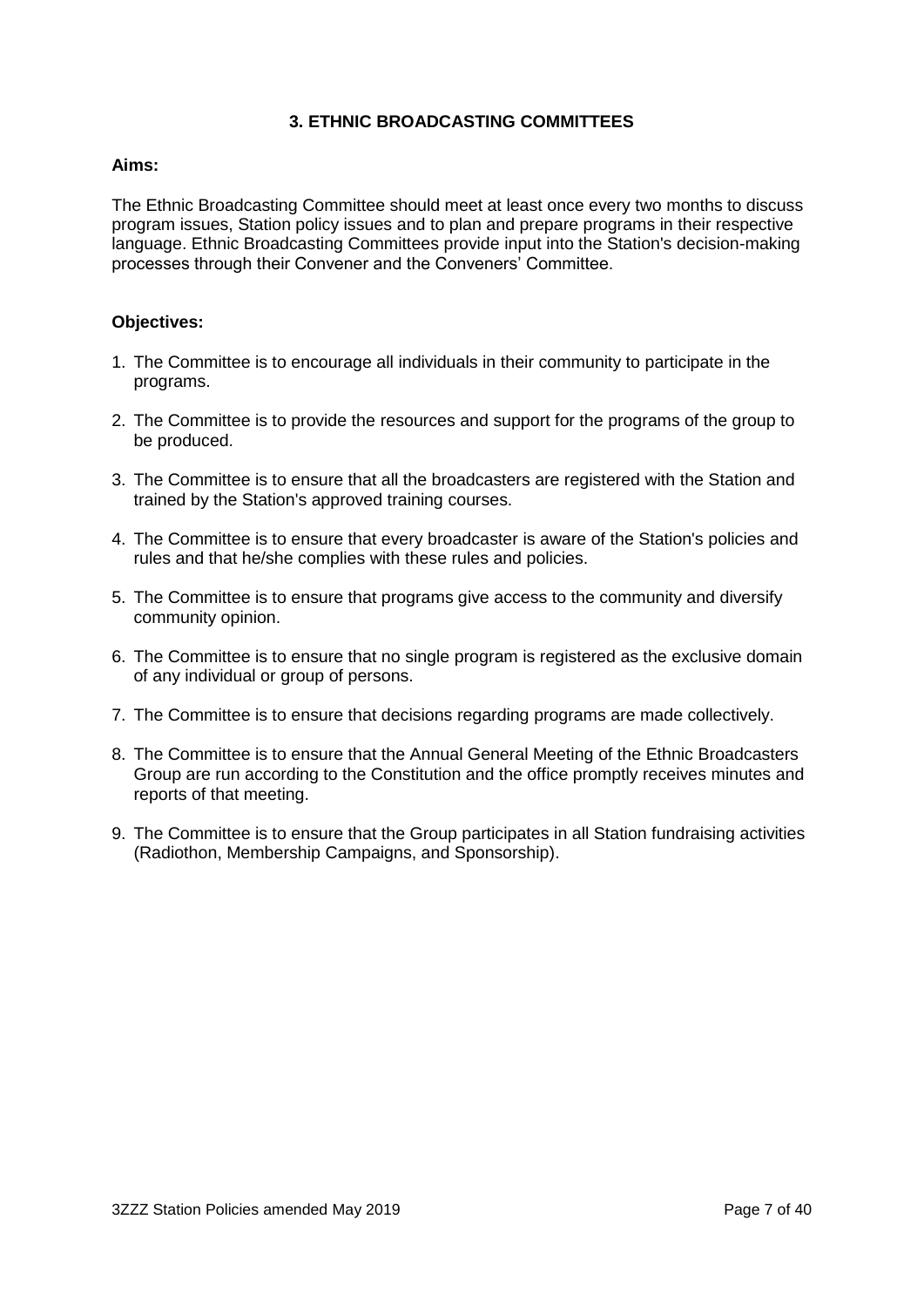#### **3. ETHNIC BROADCASTING COMMITTEES**

#### **Aims:**

The Ethnic Broadcasting Committee should meet at least once every two months to discuss program issues, Station policy issues and to plan and prepare programs in their respective language. Ethnic Broadcasting Committees provide input into the Station's decision-making processes through their Convener and the Conveners' Committee.

#### **Objectives:**

- 1. The Committee is to encourage all individuals in their community to participate in the programs.
- 2. The Committee is to provide the resources and support for the programs of the group to be produced.
- 3. The Committee is to ensure that all the broadcasters are registered with the Station and trained by the Station's approved training courses.
- 4. The Committee is to ensure that every broadcaster is aware of the Station's policies and rules and that he/she complies with these rules and policies.
- 5. The Committee is to ensure that programs give access to the community and diversify community opinion.
- 6. The Committee is to ensure that no single program is registered as the exclusive domain of any individual or group of persons.
- 7. The Committee is to ensure that decisions regarding programs are made collectively.
- 8. The Committee is to ensure that the Annual General Meeting of the Ethnic Broadcasters Group are run according to the Constitution and the office promptly receives minutes and reports of that meeting.
- 9. The Committee is to ensure that the Group participates in all Station fundraising activities (Radiothon, Membership Campaigns, and Sponsorship).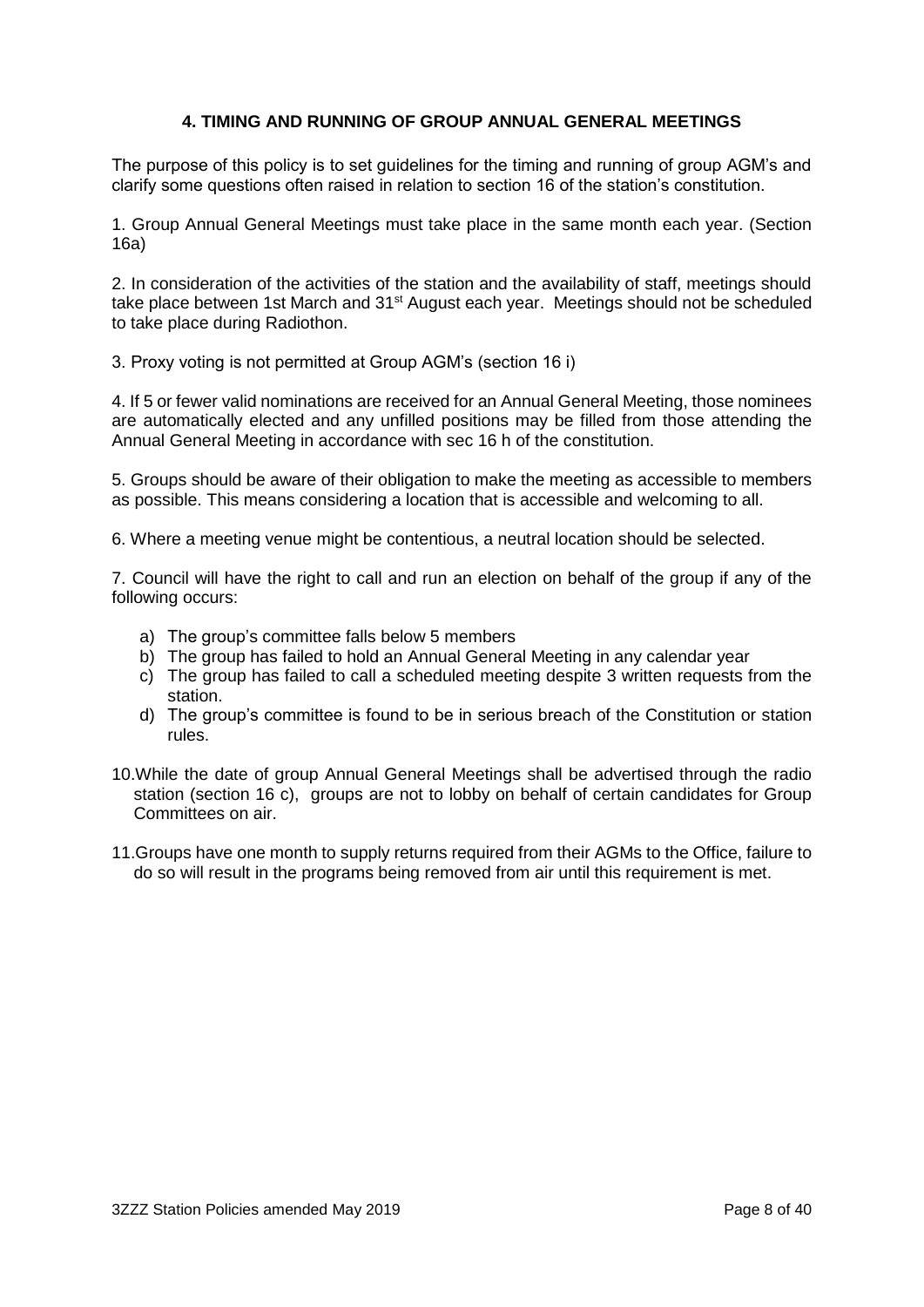#### **4. TIMING AND RUNNING OF GROUP ANNUAL GENERAL MEETINGS**

The purpose of this policy is to set guidelines for the timing and running of group AGM's and clarify some questions often raised in relation to section 16 of the station's constitution.

1. Group Annual General Meetings must take place in the same month each year. (Section 16a)

2. In consideration of the activities of the station and the availability of staff, meetings should take place between 1st March and 31<sup>st</sup> August each year. Meetings should not be scheduled to take place during Radiothon.

3. Proxy voting is not permitted at Group AGM's (section 16 i)

4. If 5 or fewer valid nominations are received for an Annual General Meeting, those nominees are automatically elected and any unfilled positions may be filled from those attending the Annual General Meeting in accordance with sec 16 h of the constitution.

5. Groups should be aware of their obligation to make the meeting as accessible to members as possible. This means considering a location that is accessible and welcoming to all.

6. Where a meeting venue might be contentious, a neutral location should be selected.

7. Council will have the right to call and run an election on behalf of the group if any of the following occurs:

- a) The group's committee falls below 5 members
- b) The group has failed to hold an Annual General Meeting in any calendar year
- c) The group has failed to call a scheduled meeting despite 3 written requests from the station.
- d) The group's committee is found to be in serious breach of the Constitution or station rules.
- 10.While the date of group Annual General Meetings shall be advertised through the radio station (section 16 c), groups are not to lobby on behalf of certain candidates for Group Committees on air.
- 11.Groups have one month to supply returns required from their AGMs to the Office, failure to do so will result in the programs being removed from air until this requirement is met.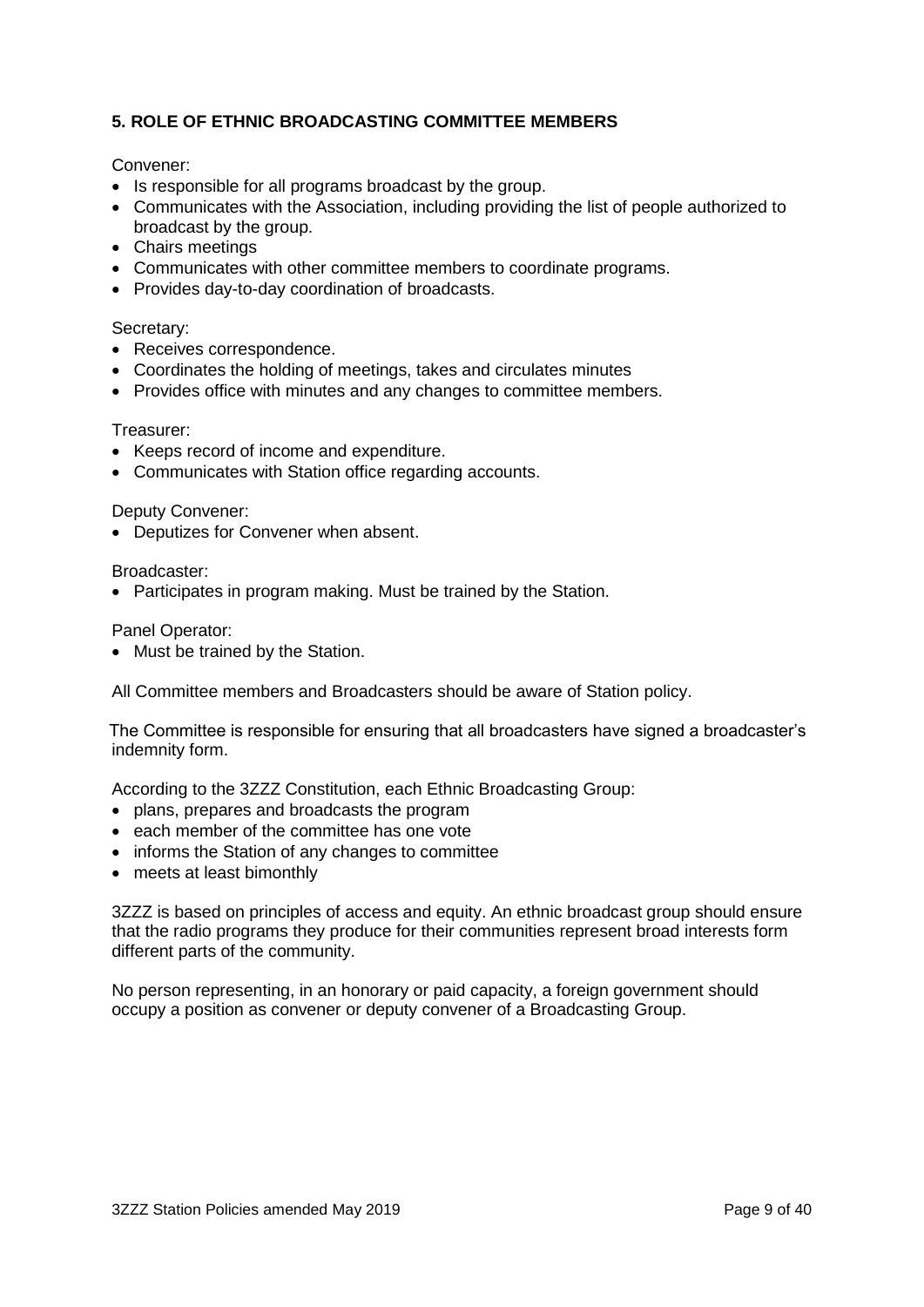# **5. ROLE OF ETHNIC BROADCASTING COMMITTEE MEMBERS**

#### Convener:

- Is responsible for all programs broadcast by the group.
- Communicates with the Association, including providing the list of people authorized to broadcast by the group.
- Chairs meetings
- Communicates with other committee members to coordinate programs.
- Provides day-to-day coordination of broadcasts.

#### Secretary:

- Receives correspondence.
- Coordinates the holding of meetings, takes and circulates minutes
- Provides office with minutes and any changes to committee members.

#### Treasurer:

- Keeps record of income and expenditure.
- Communicates with Station office regarding accounts.

#### Deputy Convener:

• Deputizes for Convener when absent.

Broadcaster:

• Participates in program making. Must be trained by the Station.

#### Panel Operator:

• Must be trained by the Station.

All Committee members and Broadcasters should be aware of Station policy.

The Committee is responsible for ensuring that all broadcasters have signed a broadcaster's indemnity form.

According to the 3ZZZ Constitution, each Ethnic Broadcasting Group:

- plans, prepares and broadcasts the program
- each member of the committee has one vote
- informs the Station of any changes to committee
- meets at least bimonthly

3ZZZ is based on principles of access and equity. An ethnic broadcast group should ensure that the radio programs they produce for their communities represent broad interests form different parts of the community.

No person representing, in an honorary or paid capacity, a foreign government should occupy a position as convener or deputy convener of a Broadcasting Group.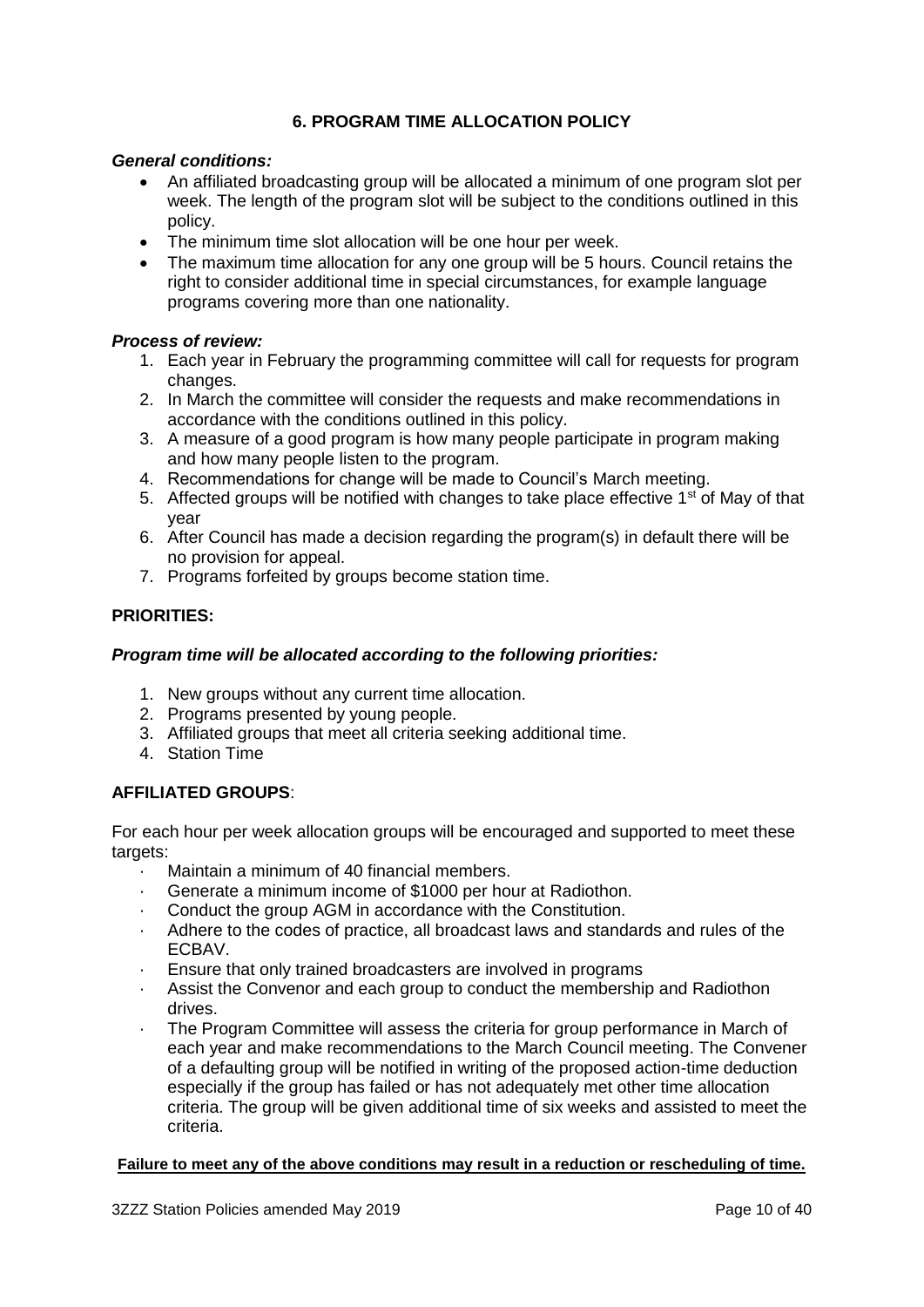# **6. PROGRAM TIME ALLOCATION POLICY**

#### *General conditions:*

- An affiliated broadcasting group will be allocated a minimum of one program slot per week. The length of the program slot will be subject to the conditions outlined in this policy.
- The minimum time slot allocation will be one hour per week.
- The maximum time allocation for any one group will be 5 hours. Council retains the right to consider additional time in special circumstances, for example language programs covering more than one nationality.

#### *Process of review:*

- 1. Each year in February the programming committee will call for requests for program changes.
- 2. In March the committee will consider the requests and make recommendations in accordance with the conditions outlined in this policy.
- 3. A measure of a good program is how many people participate in program making and how many people listen to the program.
- 4. Recommendations for change will be made to Council's March meeting.
- 5. Affected groups will be notified with changes to take place effective  $1<sup>st</sup>$  of May of that year
- 6. After Council has made a decision regarding the program(s) in default there will be no provision for appeal.
- 7. Programs forfeited by groups become station time.

#### **PRIORITIES:**

#### *Program time will be allocated according to the following priorities:*

- 1. New groups without any current time allocation.
- 2. Programs presented by young people.
- 3. Affiliated groups that meet all criteria seeking additional time.
- 4. Station Time

#### **AFFILIATED GROUPS**:

For each hour per week allocation groups will be encouraged and supported to meet these targets:

- · Maintain a minimum of 40 financial members.
- Generate a minimum income of \$1000 per hour at Radiothon.
- · Conduct the group AGM in accordance with the Constitution.
- Adhere to the codes of practice, all broadcast laws and standards and rules of the ECBAV.
- · Ensure that only trained broadcasters are involved in programs
- Assist the Convenor and each group to conduct the membership and Radiothon drives.
- The Program Committee will assess the criteria for group performance in March of each year and make recommendations to the March Council meeting. The Convener of a defaulting group will be notified in writing of the proposed action-time deduction especially if the group has failed or has not adequately met other time allocation criteria. The group will be given additional time of six weeks and assisted to meet the criteria.

#### **Failure to meet any of the above conditions may result in a reduction or rescheduling of time.**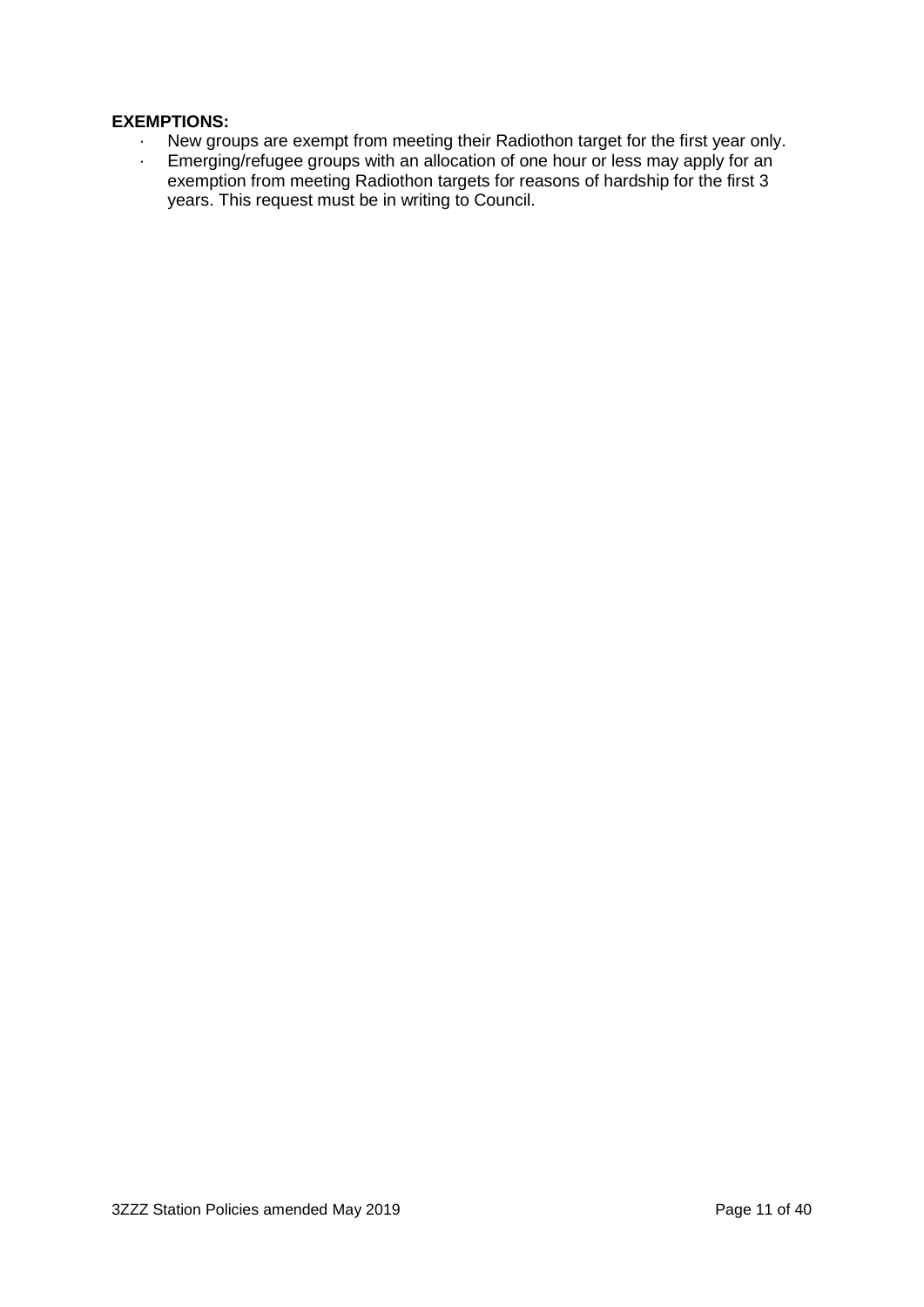#### **EXEMPTIONS:**

- · New groups are exempt from meeting their Radiothon target for the first year only.<br>· Emerging/refugee groups with an allocation of one hour or less may apply for an
- Emerging/refugee groups with an allocation of one hour or less may apply for an exemption from meeting Radiothon targets for reasons of hardship for the first 3 years. This request must be in writing to Council.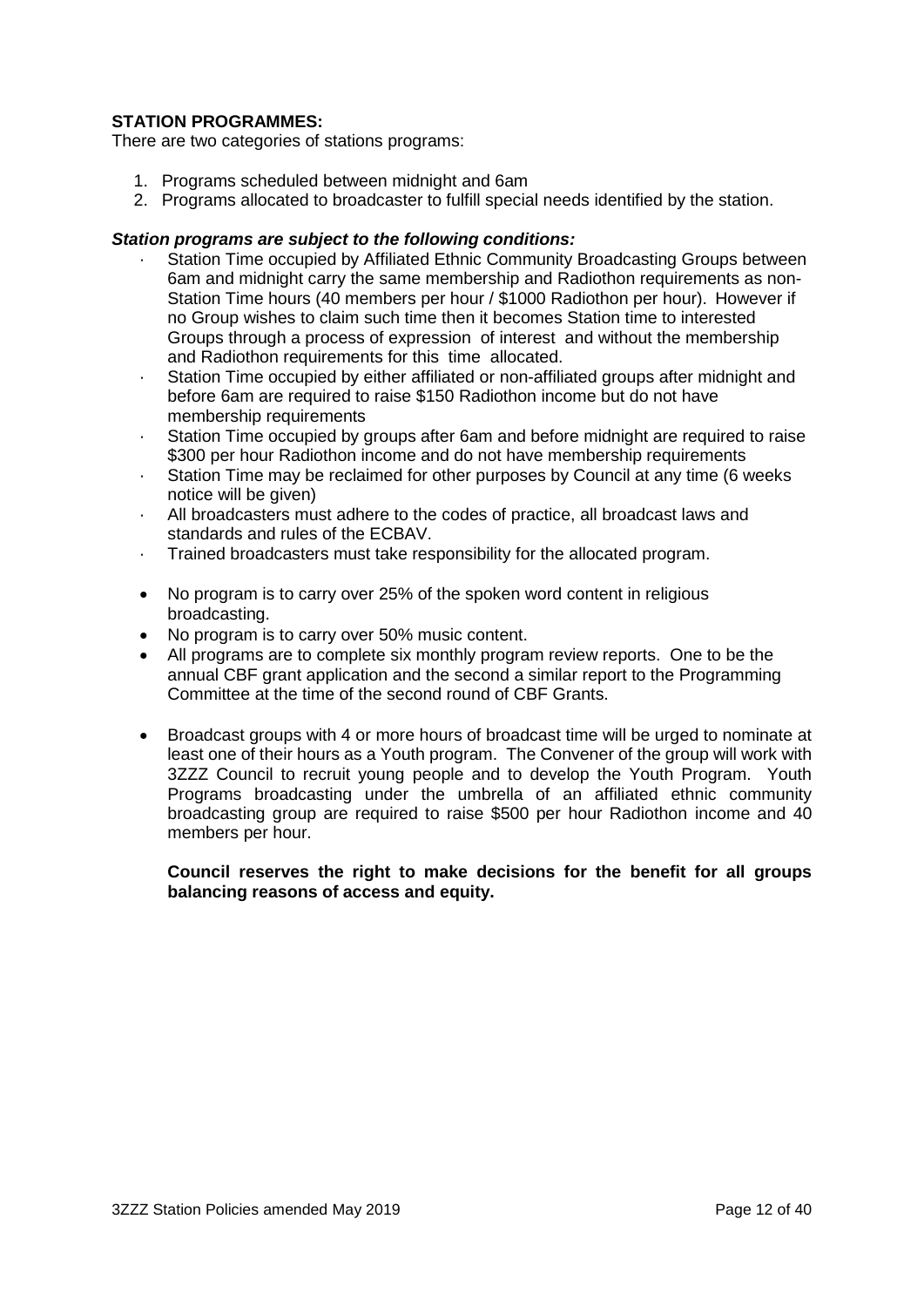#### **STATION PROGRAMMES:**

There are two categories of stations programs:

- 1. Programs scheduled between midnight and 6am
- 2. Programs allocated to broadcaster to fulfill special needs identified by the station.

#### *Station programs are subject to the following conditions:*

- Station Time occupied by Affiliated Ethnic Community Broadcasting Groups between 6am and midnight carry the same membership and Radiothon requirements as non-Station Time hours (40 members per hour / \$1000 Radiothon per hour). However if no Group wishes to claim such time then it becomes Station time to interested Groups through a process of expression of interest and without the membership and Radiothon requirements for this time allocated.
- · Station Time occupied by either affiliated or non-affiliated groups after midnight and before 6am are required to raise \$150 Radiothon income but do not have membership requirements
- Station Time occupied by groups after 6am and before midnight are required to raise \$300 per hour Radiothon income and do not have membership requirements
- · Station Time may be reclaimed for other purposes by Council at any time (6 weeks notice will be given)
- · All broadcasters must adhere to the codes of practice, all broadcast laws and standards and rules of the ECBAV.
- · Trained broadcasters must take responsibility for the allocated program.
- No program is to carry over 25% of the spoken word content in religious broadcasting.
- No program is to carry over 50% music content.
- All programs are to complete six monthly program review reports. One to be the annual CBF grant application and the second a similar report to the Programming Committee at the time of the second round of CBF Grants.
- Broadcast groups with 4 or more hours of broadcast time will be urged to nominate at least one of their hours as a Youth program. The Convener of the group will work with 3ZZZ Council to recruit young people and to develop the Youth Program. Youth Programs broadcasting under the umbrella of an affiliated ethnic community broadcasting group are required to raise \$500 per hour Radiothon income and 40 members per hour.

#### **Council reserves the right to make decisions for the benefit for all groups balancing reasons of access and equity.**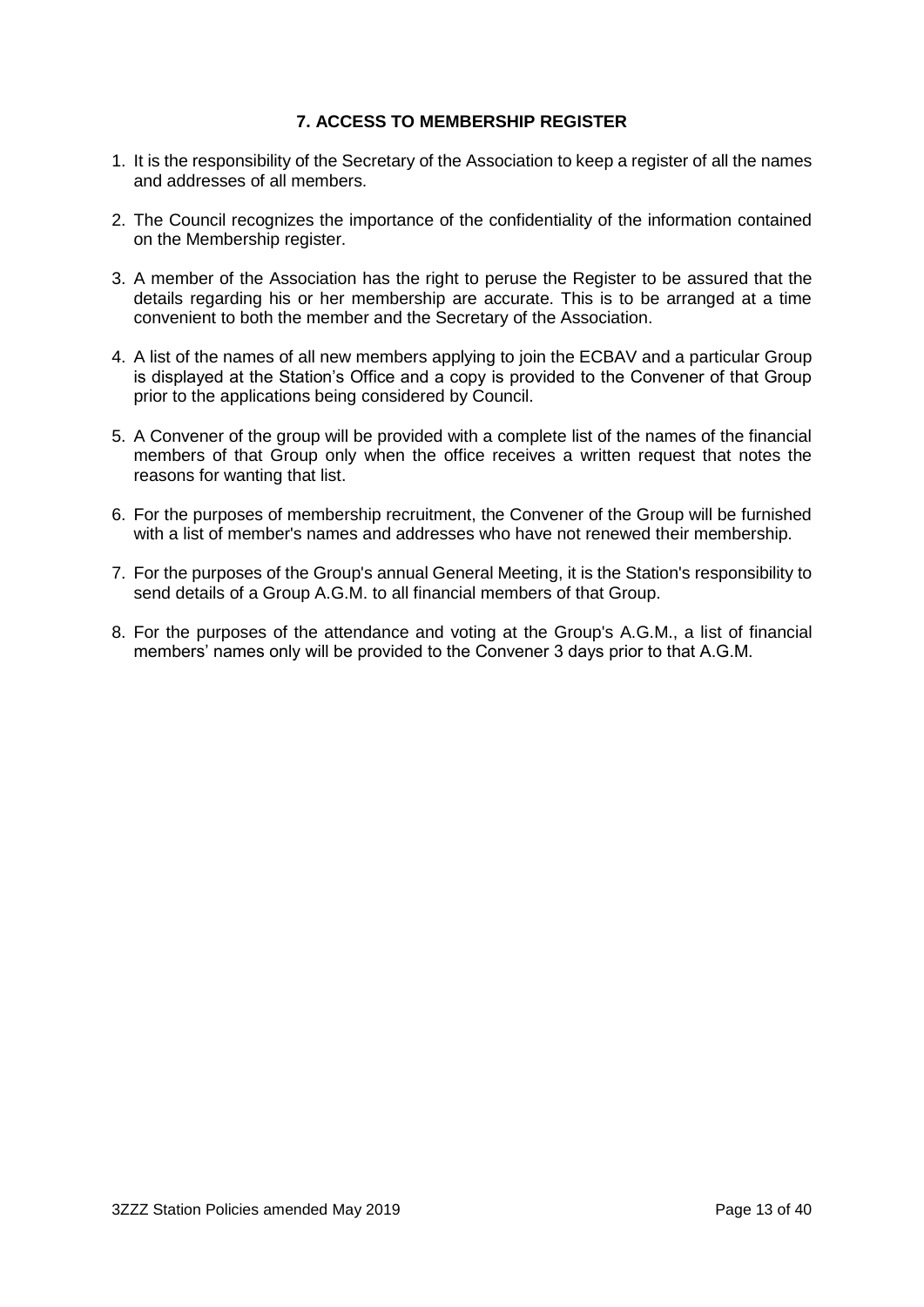#### **7. ACCESS TO MEMBERSHIP REGISTER**

- 1. It is the responsibility of the Secretary of the Association to keep a register of all the names and addresses of all members.
- 2. The Council recognizes the importance of the confidentiality of the information contained on the Membership register.
- 3. A member of the Association has the right to peruse the Register to be assured that the details regarding his or her membership are accurate. This is to be arranged at a time convenient to both the member and the Secretary of the Association.
- 4. A list of the names of all new members applying to join the ECBAV and a particular Group is displayed at the Station's Office and a copy is provided to the Convener of that Group prior to the applications being considered by Council.
- 5. A Convener of the group will be provided with a complete list of the names of the financial members of that Group only when the office receives a written request that notes the reasons for wanting that list.
- 6. For the purposes of membership recruitment, the Convener of the Group will be furnished with a list of member's names and addresses who have not renewed their membership.
- 7. For the purposes of the Group's annual General Meeting, it is the Station's responsibility to send details of a Group A.G.M. to all financial members of that Group.
- 8. For the purposes of the attendance and voting at the Group's A.G.M., a list of financial members' names only will be provided to the Convener 3 days prior to that A.G.M.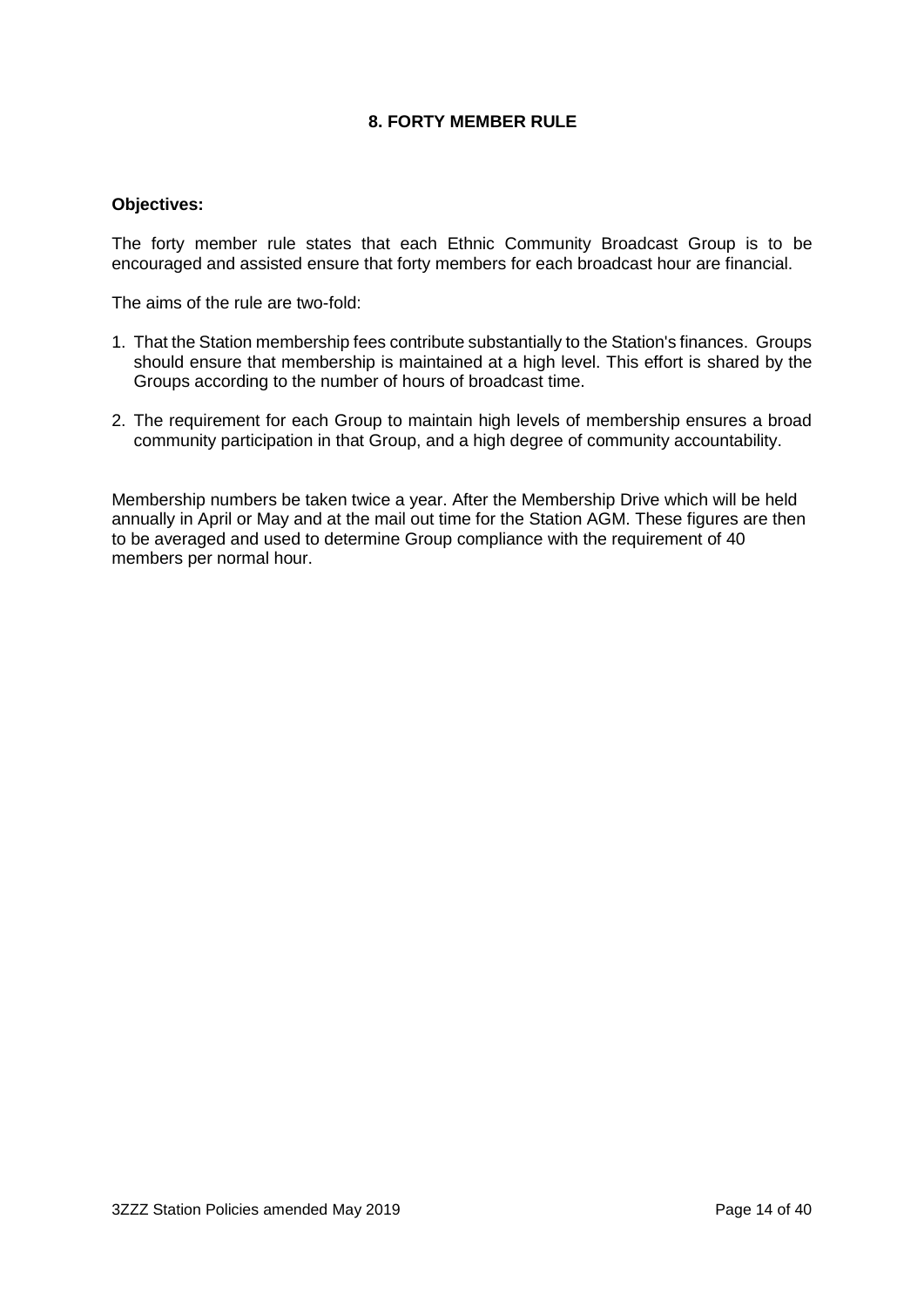#### **8. FORTY MEMBER RULE**

#### **Objectives:**

The forty member rule states that each Ethnic Community Broadcast Group is to be encouraged and assisted ensure that forty members for each broadcast hour are financial.

The aims of the rule are two-fold:

- 1. That the Station membership fees contribute substantially to the Station's finances. Groups should ensure that membership is maintained at a high level. This effort is shared by the Groups according to the number of hours of broadcast time.
- 2. The requirement for each Group to maintain high levels of membership ensures a broad community participation in that Group, and a high degree of community accountability.

Membership numbers be taken twice a year. After the Membership Drive which will be held annually in April or May and at the mail out time for the Station AGM. These figures are then to be averaged and used to determine Group compliance with the requirement of 40 members per normal hour.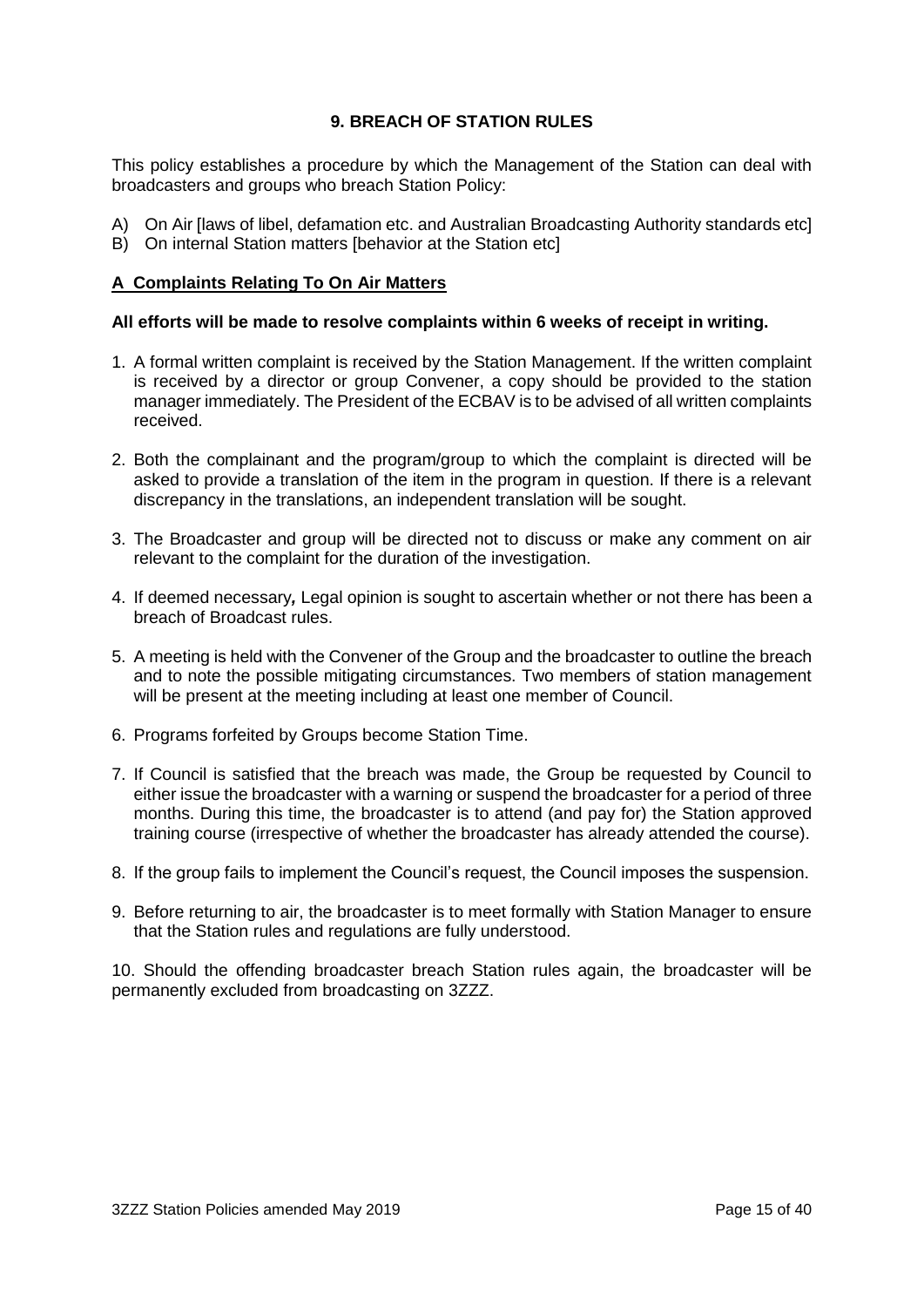#### **9. BREACH OF STATION RULES**

This policy establishes a procedure by which the Management of the Station can deal with broadcasters and groups who breach Station Policy:

- A) On Air [laws of libel, defamation etc. and Australian Broadcasting Authority standards etc]
- B) On internal Station matters [behavior at the Station etc]

#### **A Complaints Relating To On Air Matters**

#### **All efforts will be made to resolve complaints within 6 weeks of receipt in writing.**

- 1. A formal written complaint is received by the Station Management. If the written complaint is received by a director or group Convener, a copy should be provided to the station manager immediately. The President of the ECBAV is to be advised of all written complaints received.
- 2. Both the complainant and the program/group to which the complaint is directed will be asked to provide a translation of the item in the program in question. If there is a relevant discrepancy in the translations, an independent translation will be sought.
- 3. The Broadcaster and group will be directed not to discuss or make any comment on air relevant to the complaint for the duration of the investigation.
- 4. If deemed necessary*,* Legal opinion is sought to ascertain whether or not there has been a breach of Broadcast rules.
- 5. A meeting is held with the Convener of the Group and the broadcaster to outline the breach and to note the possible mitigating circumstances. Two members of station management will be present at the meeting including at least one member of Council.
- 6. Programs forfeited by Groups become Station Time.
- 7. If Council is satisfied that the breach was made, the Group be requested by Council to either issue the broadcaster with a warning or suspend the broadcaster for a period of three months. During this time, the broadcaster is to attend (and pay for) the Station approved training course (irrespective of whether the broadcaster has already attended the course).
- 8. If the group fails to implement the Council's request, the Council imposes the suspension.
- 9. Before returning to air, the broadcaster is to meet formally with Station Manager to ensure that the Station rules and regulations are fully understood.

10. Should the offending broadcaster breach Station rules again, the broadcaster will be permanently excluded from broadcasting on 3ZZZ.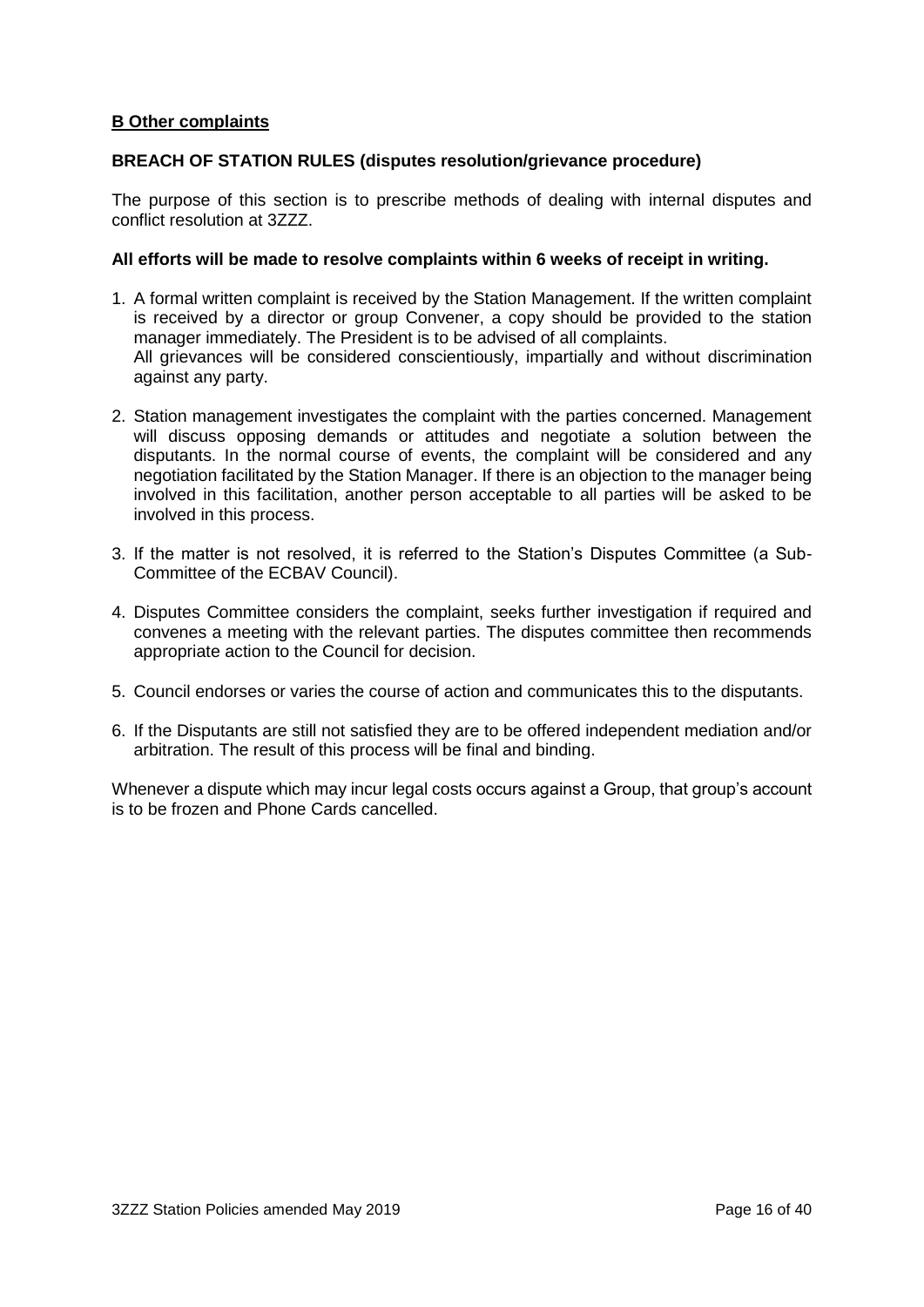#### **B Other complaints**

#### **BREACH OF STATION RULES (disputes resolution/grievance procedure)**

The purpose of this section is to prescribe methods of dealing with internal disputes and conflict resolution at 3ZZZ.

#### **All efforts will be made to resolve complaints within 6 weeks of receipt in writing.**

- 1. A formal written complaint is received by the Station Management. If the written complaint is received by a director or group Convener, a copy should be provided to the station manager immediately. The President is to be advised of all complaints. All grievances will be considered conscientiously, impartially and without discrimination against any party.
- 2. Station management investigates the complaint with the parties concerned. Management will discuss opposing demands or attitudes and negotiate a solution between the disputants. In the normal course of events, the complaint will be considered and any negotiation facilitated by the Station Manager. If there is an objection to the manager being involved in this facilitation, another person acceptable to all parties will be asked to be involved in this process.
- 3. If the matter is not resolved, it is referred to the Station's Disputes Committee (a Sub-Committee of the ECBAV Council).
- 4. Disputes Committee considers the complaint, seeks further investigation if required and convenes a meeting with the relevant parties. The disputes committee then recommends appropriate action to the Council for decision.
- 5. Council endorses or varies the course of action and communicates this to the disputants.
- 6. If the Disputants are still not satisfied they are to be offered independent mediation and/or arbitration. The result of this process will be final and binding.

Whenever a dispute which may incur legal costs occurs against a Group, that group's account is to be frozen and Phone Cards cancelled.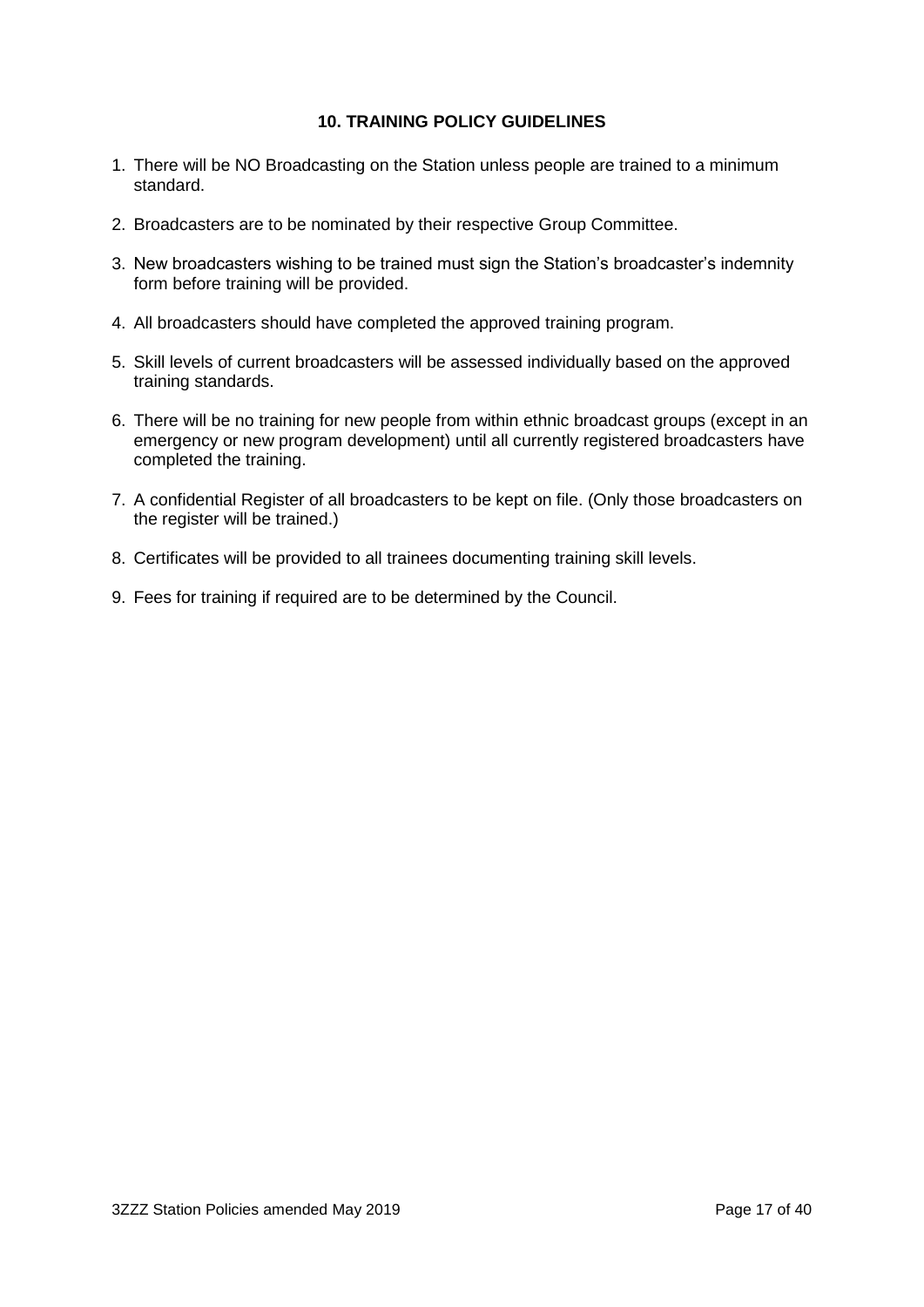#### **10. TRAINING POLICY GUIDELINES**

- 1. There will be NO Broadcasting on the Station unless people are trained to a minimum standard.
- 2. Broadcasters are to be nominated by their respective Group Committee.
- 3. New broadcasters wishing to be trained must sign the Station's broadcaster's indemnity form before training will be provided.
- 4. All broadcasters should have completed the approved training program.
- 5. Skill levels of current broadcasters will be assessed individually based on the approved training standards.
- 6. There will be no training for new people from within ethnic broadcast groups (except in an emergency or new program development) until all currently registered broadcasters have completed the training.
- 7. A confidential Register of all broadcasters to be kept on file. (Only those broadcasters on the register will be trained.)
- 8. Certificates will be provided to all trainees documenting training skill levels.
- 9. Fees for training if required are to be determined by the Council.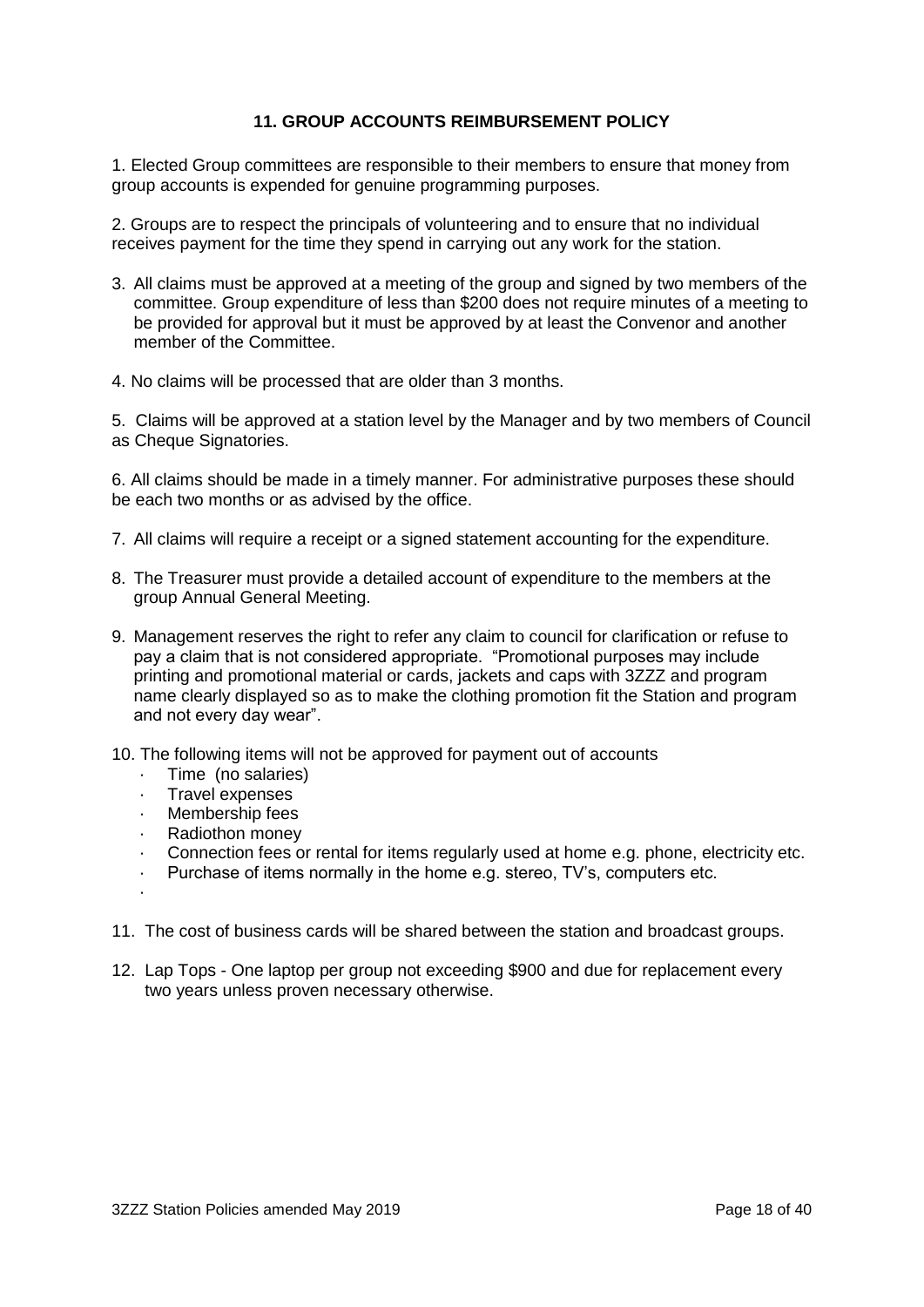#### **11. GROUP ACCOUNTS REIMBURSEMENT POLICY**

1. Elected Group committees are responsible to their members to ensure that money from group accounts is expended for genuine programming purposes.

2. Groups are to respect the principals of volunteering and to ensure that no individual receives payment for the time they spend in carrying out any work for the station.

- 3. All claims must be approved at a meeting of the group and signed by two members of the committee. Group expenditure of less than \$200 does not require minutes of a meeting to be provided for approval but it must be approved by at least the Convenor and another member of the Committee.
- 4. No claims will be processed that are older than 3 months.

5. Claims will be approved at a station level by the Manager and by two members of Council as Cheque Signatories.

6. All claims should be made in a timely manner. For administrative purposes these should be each two months or as advised by the office.

- 7. All claims will require a receipt or a signed statement accounting for the expenditure.
- 8. The Treasurer must provide a detailed account of expenditure to the members at the group Annual General Meeting.
- 9. Management reserves the right to refer any claim to council for clarification or refuse to pay a claim that is not considered appropriate. "Promotional purposes may include printing and promotional material or cards, jackets and caps with 3ZZZ and program name clearly displayed so as to make the clothing promotion fit the Station and program and not every day wear".
- 10. The following items will not be approved for payment out of accounts
	- · Time (no salaries)
	- · Travel expenses
	- · Membership fees
	- · Radiothon money
	- Connection fees or rental for items regularly used at home e.g. phone, electricity etc.
	- Purchase of items normally in the home e.g. stereo, TV's, computers etc.
	- ·
- 11. The cost of business cards will be shared between the station and broadcast groups.
- 12. Lap Tops One laptop per group not exceeding \$900 and due for replacement every two years unless proven necessary otherwise.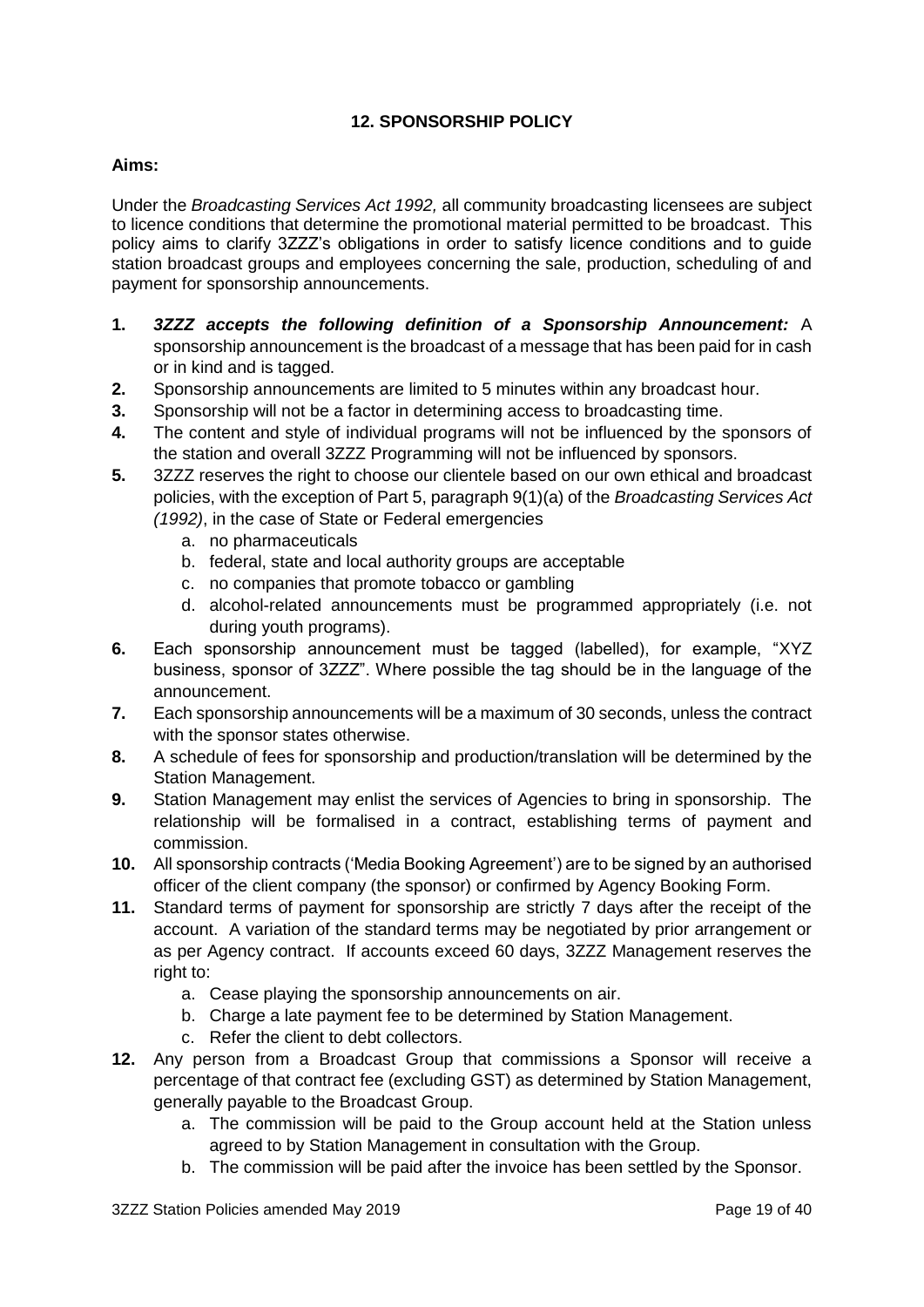# **12. SPONSORSHIP POLICY**

#### **Aims:**

Under the *Broadcasting Services Act 1992,* all community broadcasting licensees are subject to licence conditions that determine the promotional material permitted to be broadcast. This policy aims to clarify 3ZZZ's obligations in order to satisfy licence conditions and to guide station broadcast groups and employees concerning the sale, production, scheduling of and payment for sponsorship announcements.

- **1.** *3ZZZ accepts the following definition of a Sponsorship Announcement:* A sponsorship announcement is the broadcast of a message that has been paid for in cash or in kind and is tagged.
- **2.** Sponsorship announcements are limited to 5 minutes within any broadcast hour.
- **3.** Sponsorship will not be a factor in determining access to broadcasting time.
- **4.** The content and style of individual programs will not be influenced by the sponsors of the station and overall 3ZZZ Programming will not be influenced by sponsors.
- **5.** 3ZZZ reserves the right to choose our clientele based on our own ethical and broadcast policies, with the exception of Part 5, paragraph 9(1)(a) of the *Broadcasting Services Act* 
	- *(1992)*, in the case of State or Federal emergencies
		- a. no pharmaceuticals
		- b. federal, state and local authority groups are acceptable
		- c. no companies that promote tobacco or gambling
		- d. alcohol-related announcements must be programmed appropriately (i.e. not during youth programs).
- **6.** Each sponsorship announcement must be tagged (labelled), for example, "XYZ business, sponsor of 3ZZZ". Where possible the tag should be in the language of the announcement.
- **7.** Each sponsorship announcements will be a maximum of 30 seconds, unless the contract with the sponsor states otherwise.
- **8.** A schedule of fees for sponsorship and production/translation will be determined by the Station Management.
- **9.** Station Management may enlist the services of Agencies to bring in sponsorship. The relationship will be formalised in a contract, establishing terms of payment and commission.
- **10.** All sponsorship contracts ('Media Booking Agreement') are to be signed by an authorised officer of the client company (the sponsor) or confirmed by Agency Booking Form.
- **11.** Standard terms of payment for sponsorship are strictly 7 days after the receipt of the account. A variation of the standard terms may be negotiated by prior arrangement or as per Agency contract. If accounts exceed 60 days, 3ZZZ Management reserves the right to:
	- a. Cease playing the sponsorship announcements on air.
	- b. Charge a late payment fee to be determined by Station Management.
	- c. Refer the client to debt collectors.
- **12.** Any person from a Broadcast Group that commissions a Sponsor will receive a percentage of that contract fee (excluding GST) as determined by Station Management, generally payable to the Broadcast Group.
	- a. The commission will be paid to the Group account held at the Station unless agreed to by Station Management in consultation with the Group.
	- b. The commission will be paid after the invoice has been settled by the Sponsor.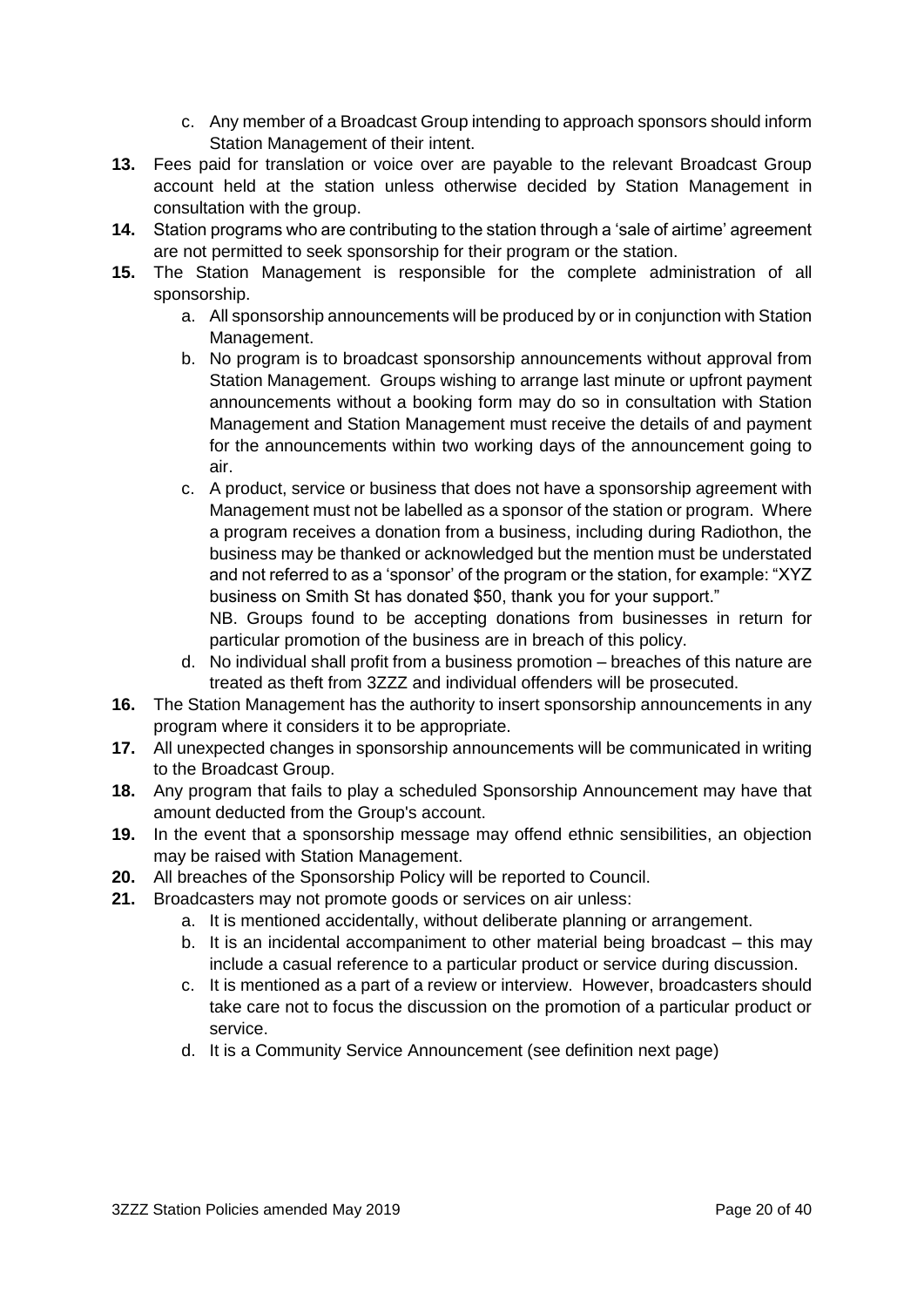- c. Any member of a Broadcast Group intending to approach sponsors should inform Station Management of their intent.
- **13.** Fees paid for translation or voice over are payable to the relevant Broadcast Group account held at the station unless otherwise decided by Station Management in consultation with the group.
- **14.** Station programs who are contributing to the station through a 'sale of airtime' agreement are not permitted to seek sponsorship for their program or the station.
- **15.** The Station Management is responsible for the complete administration of all sponsorship.
	- a. All sponsorship announcements will be produced by or in conjunction with Station Management.
	- b. No program is to broadcast sponsorship announcements without approval from Station Management. Groups wishing to arrange last minute or upfront payment announcements without a booking form may do so in consultation with Station Management and Station Management must receive the details of and payment for the announcements within two working days of the announcement going to air.
	- c. A product, service or business that does not have a sponsorship agreement with Management must not be labelled as a sponsor of the station or program. Where a program receives a donation from a business, including during Radiothon, the business may be thanked or acknowledged but the mention must be understated and not referred to as a 'sponsor' of the program or the station, for example: "XYZ business on Smith St has donated \$50, thank you for your support."

NB. Groups found to be accepting donations from businesses in return for particular promotion of the business are in breach of this policy.

- d. No individual shall profit from a business promotion breaches of this nature are treated as theft from 3ZZZ and individual offenders will be prosecuted.
- **16.** The Station Management has the authority to insert sponsorship announcements in any program where it considers it to be appropriate.
- **17.** All unexpected changes in sponsorship announcements will be communicated in writing to the Broadcast Group.
- **18.** Any program that fails to play a scheduled Sponsorship Announcement may have that amount deducted from the Group's account.
- **19.** In the event that a sponsorship message may offend ethnic sensibilities, an objection may be raised with Station Management.
- **20.** All breaches of the Sponsorship Policy will be reported to Council.
- **21.** Broadcasters may not promote goods or services on air unless:
	- a. It is mentioned accidentally, without deliberate planning or arrangement.
	- b. It is an incidental accompaniment to other material being broadcast this may include a casual reference to a particular product or service during discussion.
	- c. It is mentioned as a part of a review or interview. However, broadcasters should take care not to focus the discussion on the promotion of a particular product or service.
	- d. It is a Community Service Announcement (see definition next page)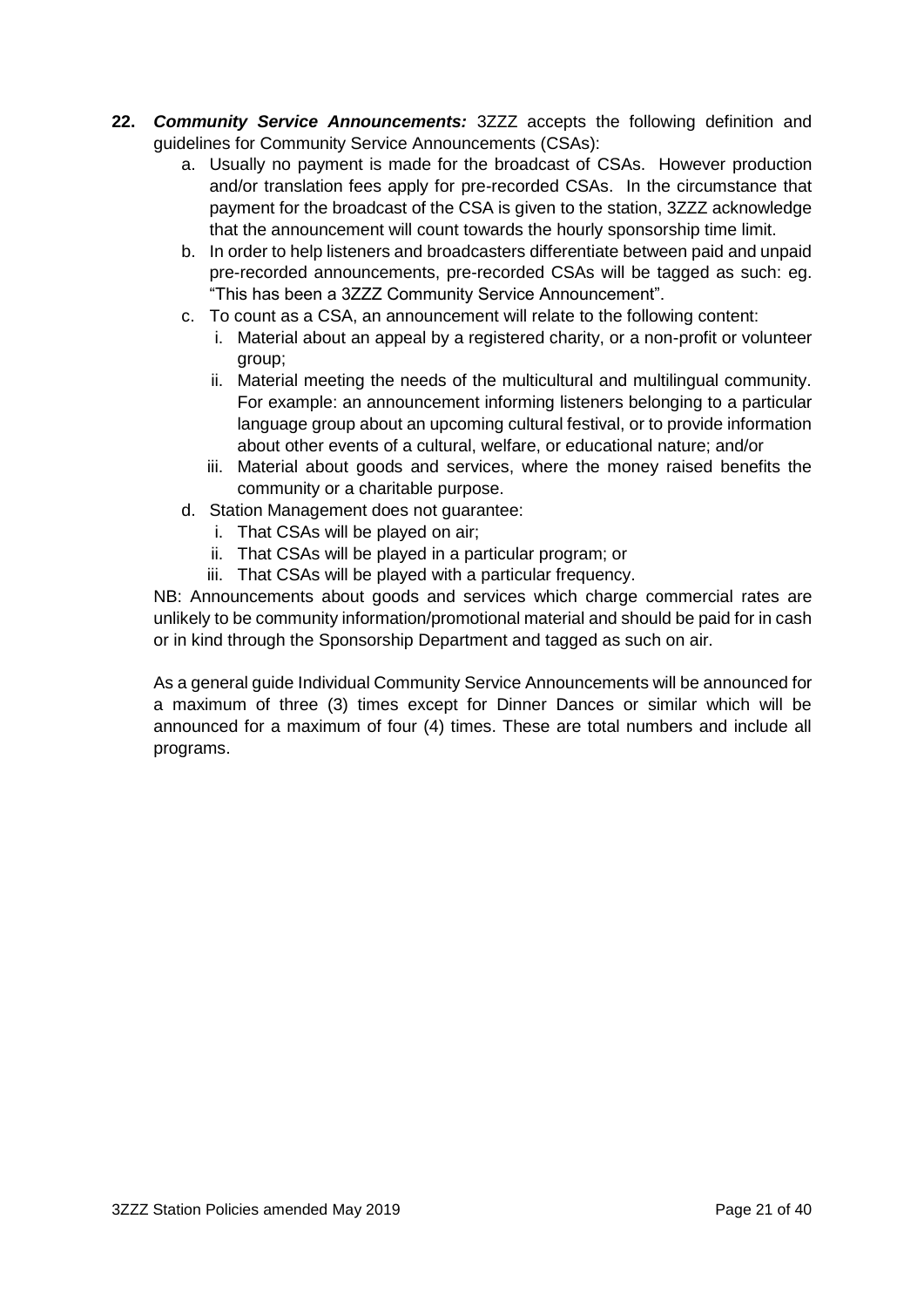- **22.** *Community Service Announcements:* 3ZZZ accepts the following definition and guidelines for Community Service Announcements (CSAs):
	- a. Usually no payment is made for the broadcast of CSAs. However production and/or translation fees apply for pre-recorded CSAs. In the circumstance that payment for the broadcast of the CSA is given to the station, 3ZZZ acknowledge that the announcement will count towards the hourly sponsorship time limit.
	- b. In order to help listeners and broadcasters differentiate between paid and unpaid pre-recorded announcements, pre-recorded CSAs will be tagged as such: eg. "This has been a 3ZZZ Community Service Announcement".
	- c. To count as a CSA, an announcement will relate to the following content:
		- i. Material about an appeal by a registered charity, or a non-profit or volunteer group;
		- ii. Material meeting the needs of the multicultural and multilingual community. For example: an announcement informing listeners belonging to a particular language group about an upcoming cultural festival, or to provide information about other events of a cultural, welfare, or educational nature; and/or
		- iii. Material about goods and services, where the money raised benefits the community or a charitable purpose.
	- d. Station Management does not guarantee:
		- i. That CSAs will be played on air;
		- ii. That CSAs will be played in a particular program; or
		- iii. That CSAs will be played with a particular frequency.

NB: Announcements about goods and services which charge commercial rates are unlikely to be community information/promotional material and should be paid for in cash or in kind through the Sponsorship Department and tagged as such on air.

As a general guide Individual Community Service Announcements will be announced for a maximum of three (3) times except for Dinner Dances or similar which will be announced for a maximum of four (4) times. These are total numbers and include all programs.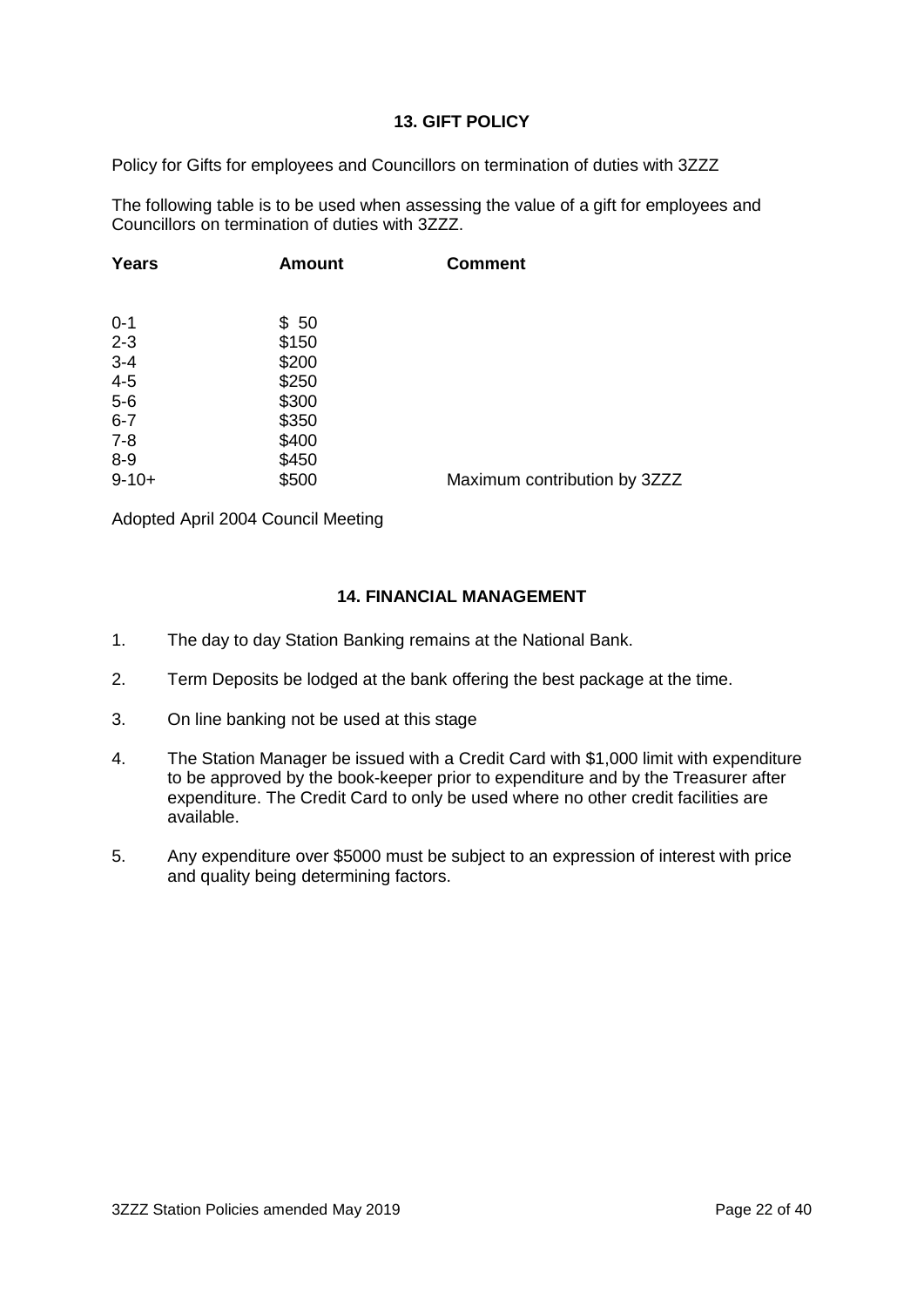#### **13. GIFT POLICY**

Policy for Gifts for employees and Councillors on termination of duties with 3ZZZ

The following table is to be used when assessing the value of a gift for employees and Councillors on termination of duties with 3ZZZ.

| <b>Amount</b> | <b>Comment</b>               |
|---------------|------------------------------|
|               |                              |
| \$50          |                              |
| \$150         |                              |
| \$200         |                              |
| \$250         |                              |
| \$300         |                              |
| \$350         |                              |
| \$400         |                              |
| \$450         |                              |
| \$500         | Maximum contribution by 3ZZZ |
|               |                              |

Adopted April 2004 Council Meeting

#### **14. FINANCIAL MANAGEMENT**

- 1. The day to day Station Banking remains at the National Bank.
- 2. Term Deposits be lodged at the bank offering the best package at the time.
- 3. On line banking not be used at this stage
- 4. The Station Manager be issued with a Credit Card with \$1,000 limit with expenditure to be approved by the book-keeper prior to expenditure and by the Treasurer after expenditure. The Credit Card to only be used where no other credit facilities are available.
- 5. Any expenditure over \$5000 must be subject to an expression of interest with price and quality being determining factors.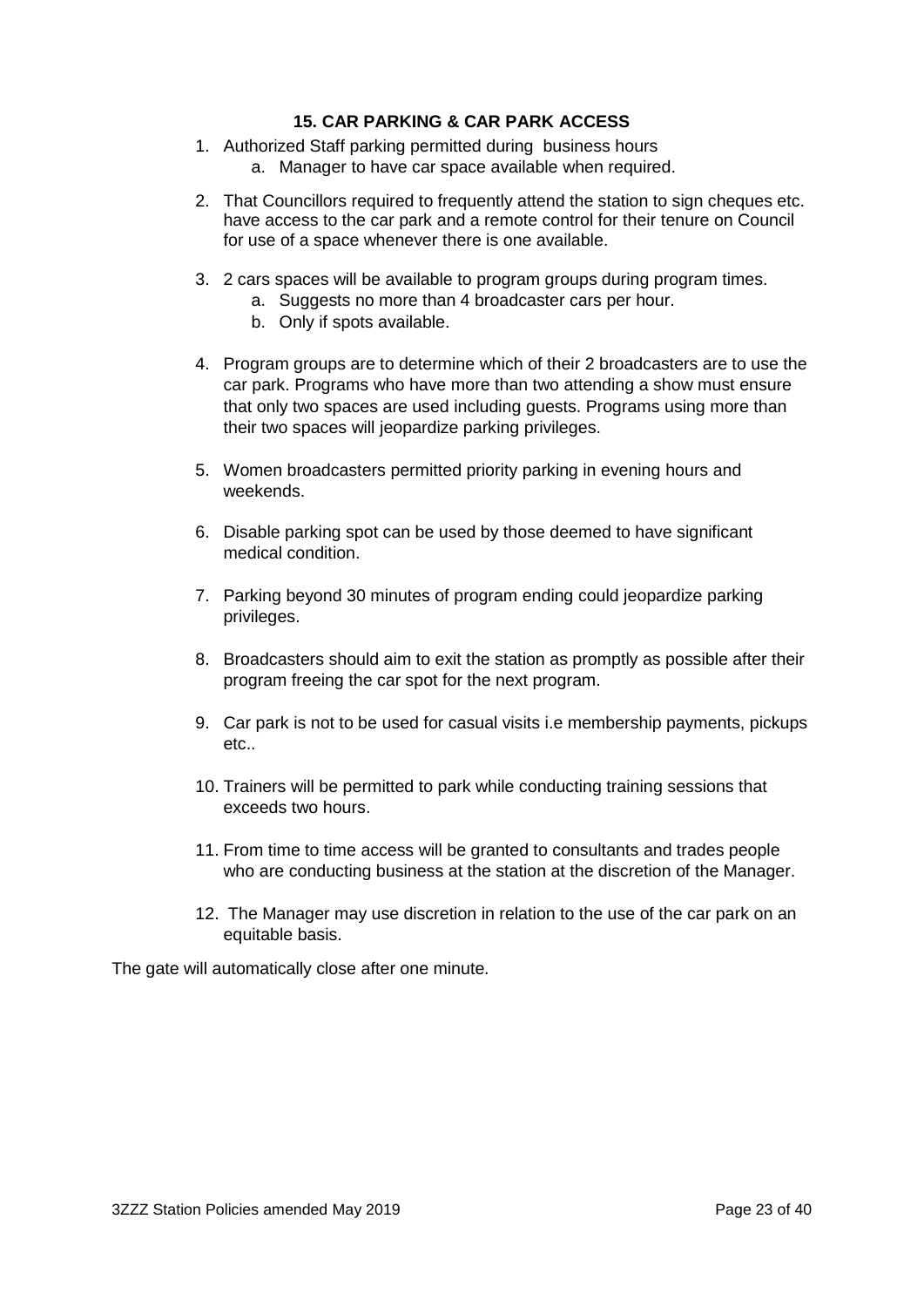#### **15. CAR PARKING & CAR PARK ACCESS**

- 1. Authorized Staff parking permitted during business hours
	- a. Manager to have car space available when required.
- 2. That Councillors required to frequently attend the station to sign cheques etc. have access to the car park and a remote control for their tenure on Council for use of a space whenever there is one available.
- 3. 2 cars spaces will be available to program groups during program times.
	- a. Suggests no more than 4 broadcaster cars per hour.
	- b. Only if spots available.
- 4. Program groups are to determine which of their 2 broadcasters are to use the car park. Programs who have more than two attending a show must ensure that only two spaces are used including guests. Programs using more than their two spaces will jeopardize parking privileges.
- 5. Women broadcasters permitted priority parking in evening hours and weekends.
- 6. Disable parking spot can be used by those deemed to have significant medical condition.
- 7. Parking beyond 30 minutes of program ending could jeopardize parking privileges.
- 8. Broadcasters should aim to exit the station as promptly as possible after their program freeing the car spot for the next program.
- 9. Car park is not to be used for casual visits i.e membership payments, pickups etc..
- 10. Trainers will be permitted to park while conducting training sessions that exceeds two hours.
- 11. From time to time access will be granted to consultants and trades people who are conducting business at the station at the discretion of the Manager.
- 12. The Manager may use discretion in relation to the use of the car park on an equitable basis.

The gate will automatically close after one minute.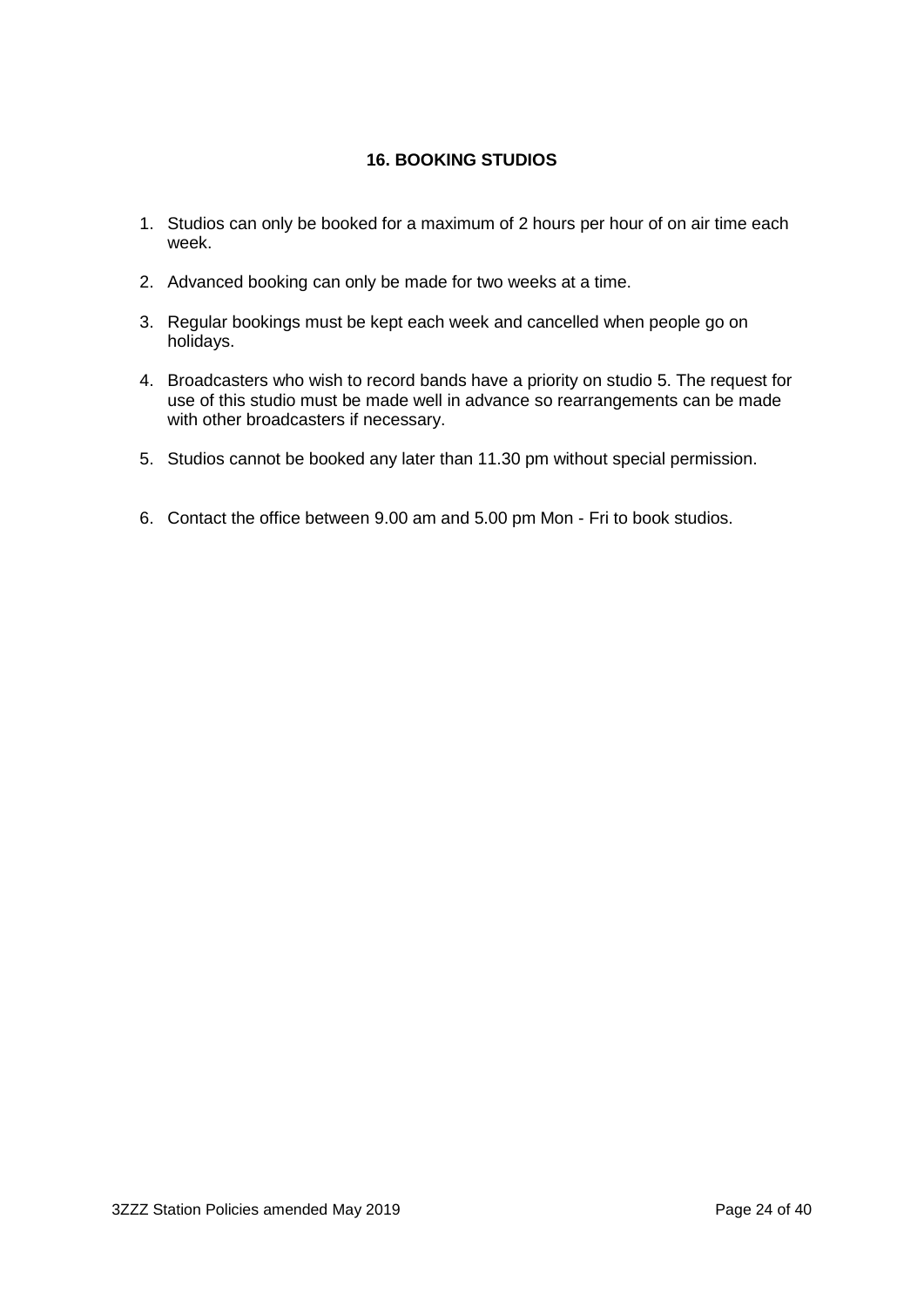# **16. BOOKING STUDIOS**

- 1. Studios can only be booked for a maximum of 2 hours per hour of on air time each week.
- 2. Advanced booking can only be made for two weeks at a time.
- 3. Regular bookings must be kept each week and cancelled when people go on holidays.
- 4. Broadcasters who wish to record bands have a priority on studio 5. The request for use of this studio must be made well in advance so rearrangements can be made with other broadcasters if necessary.
- 5. Studios cannot be booked any later than 11.30 pm without special permission.
- 6. Contact the office between 9.00 am and 5.00 pm Mon Fri to book studios.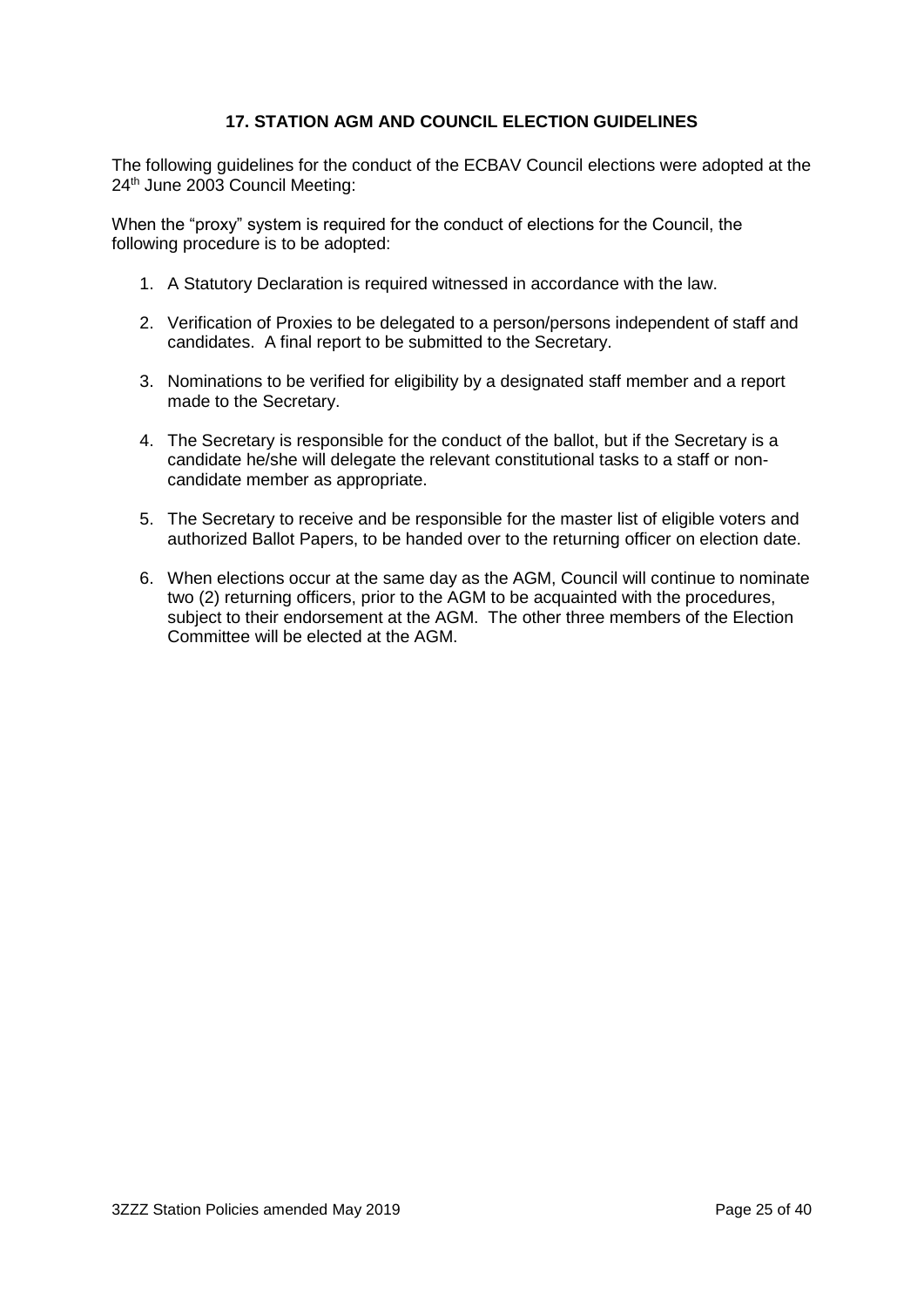#### **17. STATION AGM AND COUNCIL ELECTION GUIDELINES**

The following guidelines for the conduct of the ECBAV Council elections were adopted at the 24<sup>th</sup> June 2003 Council Meeting:

When the "proxy" system is required for the conduct of elections for the Council, the following procedure is to be adopted:

- 1. A Statutory Declaration is required witnessed in accordance with the law.
- 2. Verification of Proxies to be delegated to a person/persons independent of staff and candidates. A final report to be submitted to the Secretary.
- 3. Nominations to be verified for eligibility by a designated staff member and a report made to the Secretary.
- 4. The Secretary is responsible for the conduct of the ballot, but if the Secretary is a candidate he/she will delegate the relevant constitutional tasks to a staff or noncandidate member as appropriate.
- 5. The Secretary to receive and be responsible for the master list of eligible voters and authorized Ballot Papers, to be handed over to the returning officer on election date.
- 6. When elections occur at the same day as the AGM, Council will continue to nominate two (2) returning officers, prior to the AGM to be acquainted with the procedures, subject to their endorsement at the AGM. The other three members of the Election Committee will be elected at the AGM.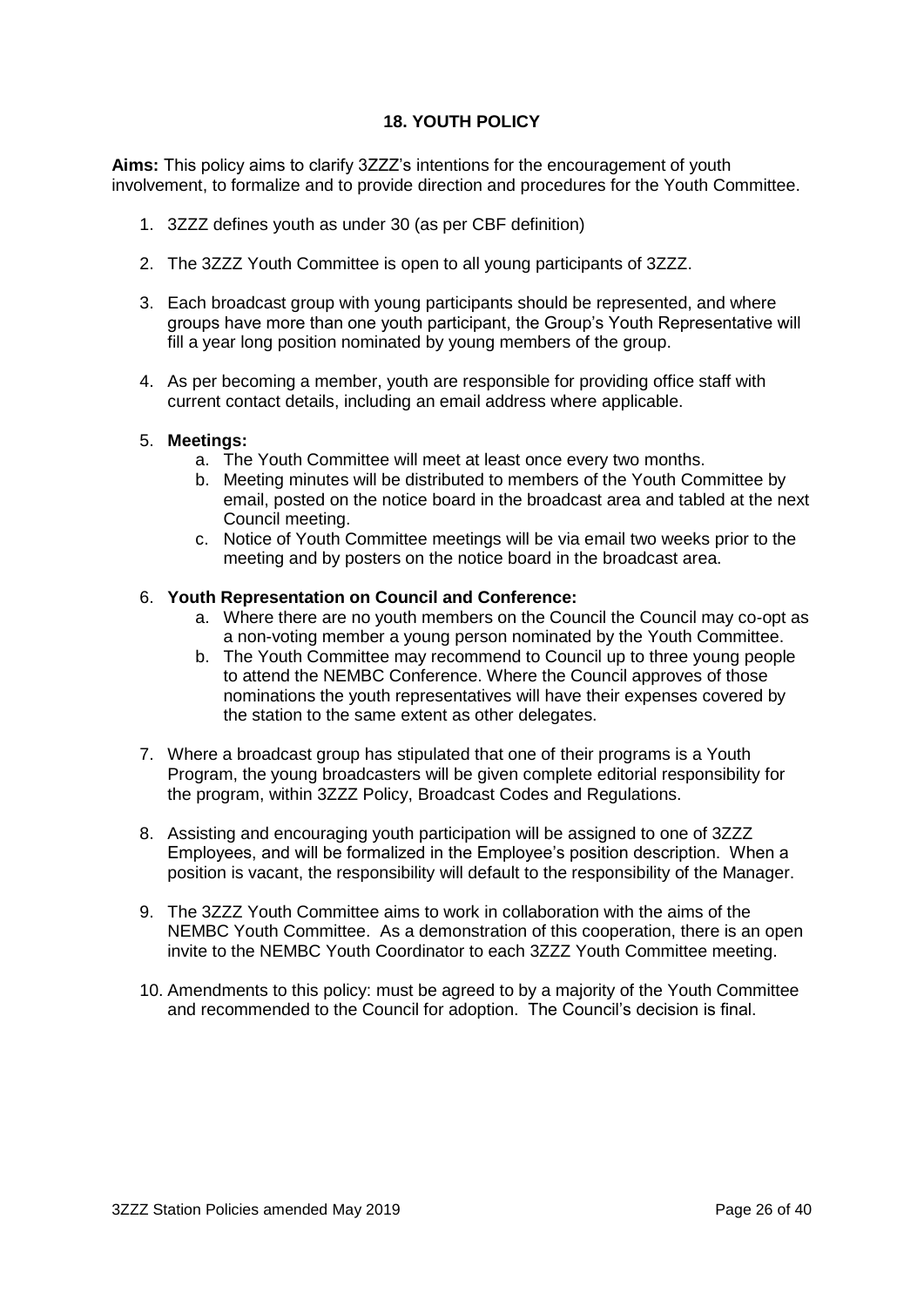#### **18. YOUTH POLICY**

**Aims:** This policy aims to clarify 3ZZZ's intentions for the encouragement of youth involvement, to formalize and to provide direction and procedures for the Youth Committee.

- 1. 3ZZZ defines youth as under 30 (as per CBF definition)
- 2. The 3ZZZ Youth Committee is open to all young participants of 3ZZZ.
- 3. Each broadcast group with young participants should be represented, and where groups have more than one youth participant, the Group's Youth Representative will fill a year long position nominated by young members of the group.
- 4. As per becoming a member, youth are responsible for providing office staff with current contact details, including an email address where applicable.

#### 5. **Meetings:**

- a. The Youth Committee will meet at least once every two months.
- b. Meeting minutes will be distributed to members of the Youth Committee by email, posted on the notice board in the broadcast area and tabled at the next Council meeting.
- c. Notice of Youth Committee meetings will be via email two weeks prior to the meeting and by posters on the notice board in the broadcast area.

#### 6. **Youth Representation on Council and Conference:**

- a. Where there are no youth members on the Council the Council may co-opt as a non-voting member a young person nominated by the Youth Committee.
- b. The Youth Committee may recommend to Council up to three young people to attend the NEMBC Conference. Where the Council approves of those nominations the youth representatives will have their expenses covered by the station to the same extent as other delegates.
- 7. Where a broadcast group has stipulated that one of their programs is a Youth Program, the young broadcasters will be given complete editorial responsibility for the program, within 3ZZZ Policy, Broadcast Codes and Regulations.
- 8. Assisting and encouraging youth participation will be assigned to one of 3ZZZ Employees, and will be formalized in the Employee's position description. When a position is vacant, the responsibility will default to the responsibility of the Manager.
- 9. The 3ZZZ Youth Committee aims to work in collaboration with the aims of the NEMBC Youth Committee. As a demonstration of this cooperation, there is an open invite to the NEMBC Youth Coordinator to each 3ZZZ Youth Committee meeting.
- 10. Amendments to this policy: must be agreed to by a majority of the Youth Committee and recommended to the Council for adoption. The Council's decision is final.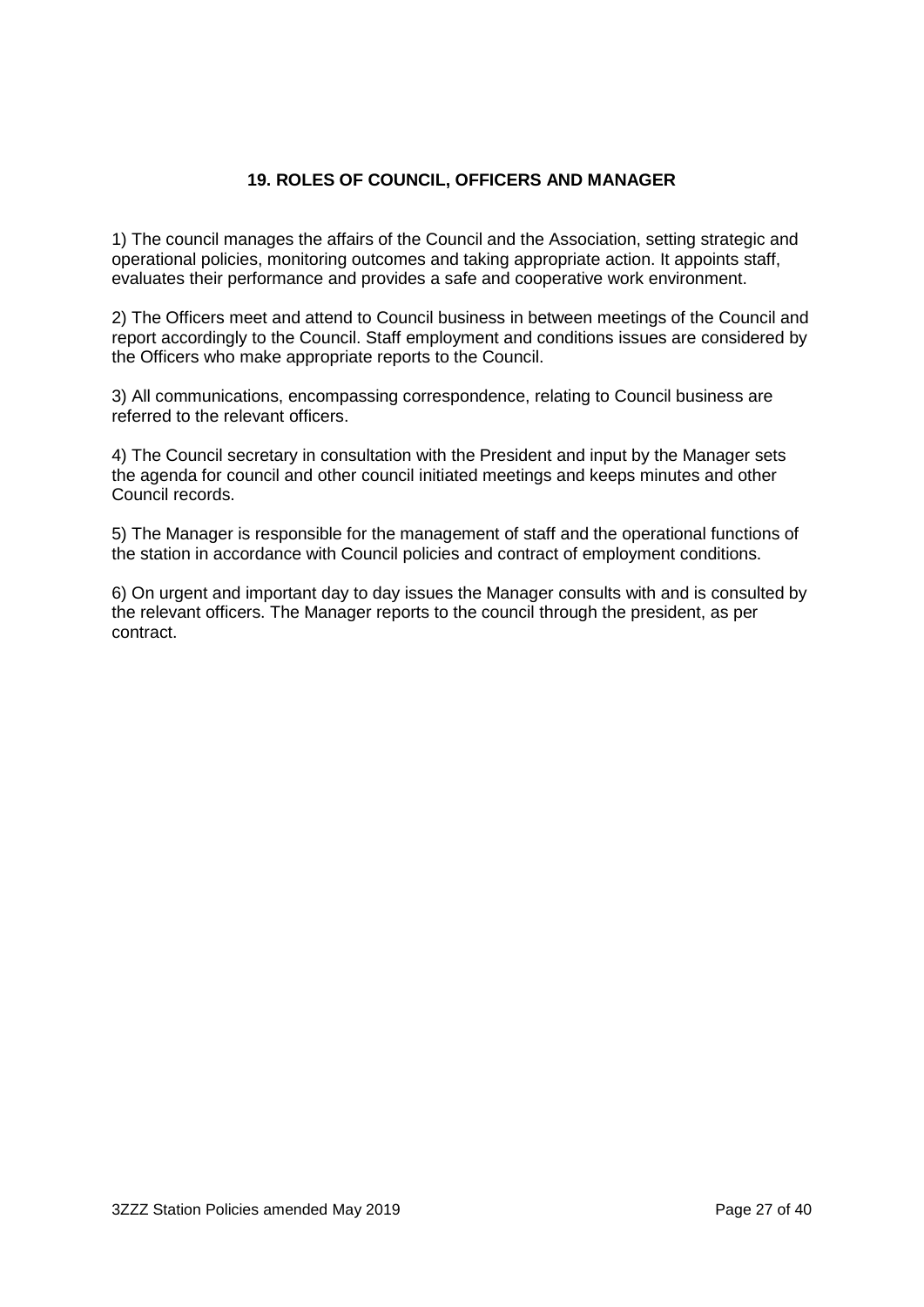#### **19. ROLES OF COUNCIL, OFFICERS AND MANAGER**

1) The council manages the affairs of the Council and the Association, setting strategic and operational policies, monitoring outcomes and taking appropriate action. It appoints staff, evaluates their performance and provides a safe and cooperative work environment.

2) The Officers meet and attend to Council business in between meetings of the Council and report accordingly to the Council. Staff employment and conditions issues are considered by the Officers who make appropriate reports to the Council.

3) All communications, encompassing correspondence, relating to Council business are referred to the relevant officers.

4) The Council secretary in consultation with the President and input by the Manager sets the agenda for council and other council initiated meetings and keeps minutes and other Council records.

5) The Manager is responsible for the management of staff and the operational functions of the station in accordance with Council policies and contract of employment conditions.

6) On urgent and important day to day issues the Manager consults with and is consulted by the relevant officers. The Manager reports to the council through the president, as per contract.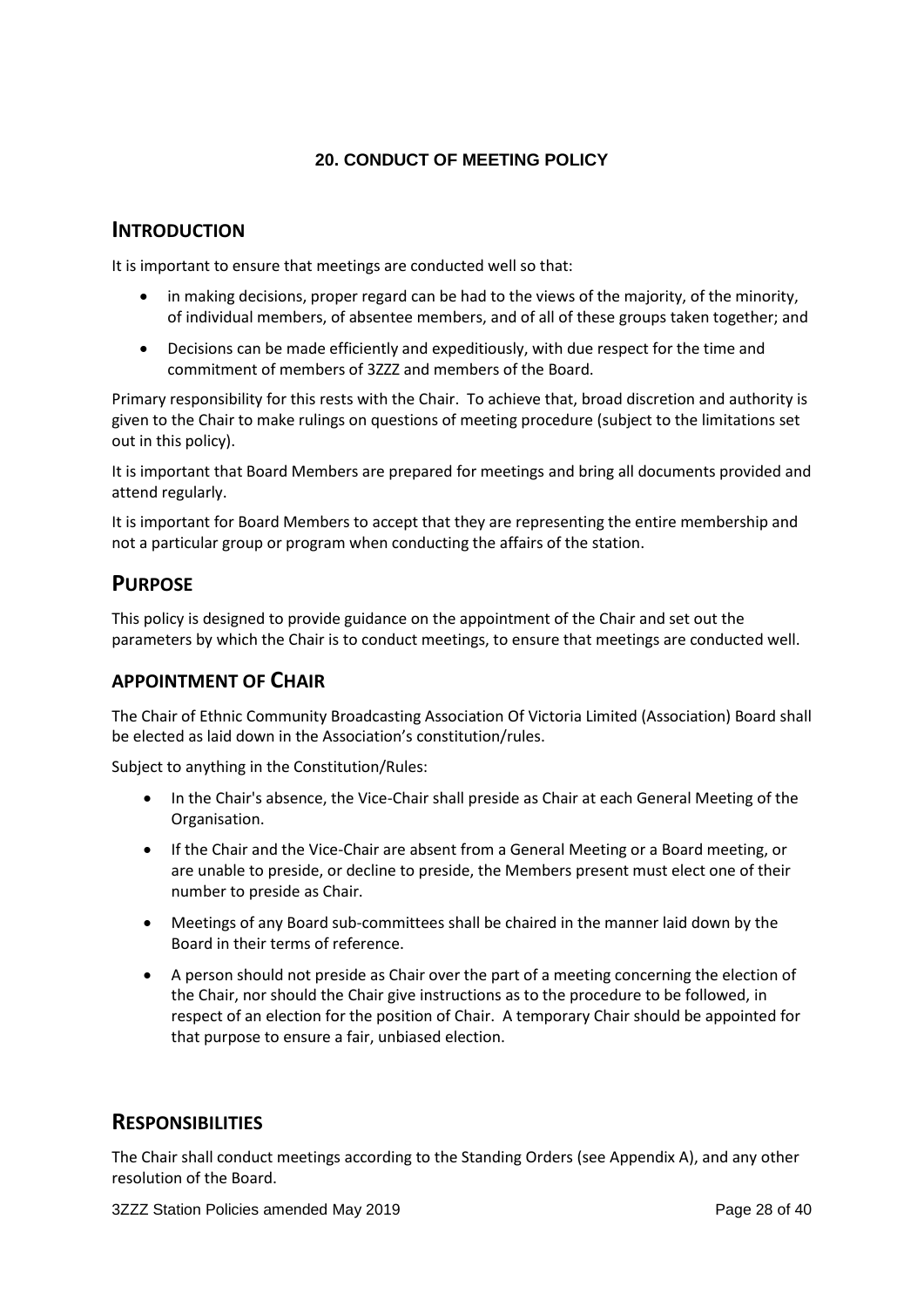# **20. CONDUCT OF MEETING POLICY**

# **INTRODUCTION**

It is important to ensure that meetings are conducted well so that:

- in making decisions, proper regard can be had to the views of the majority, of the minority, of individual members, of absentee members, and of all of these groups taken together; and
- Decisions can be made efficiently and expeditiously, with due respect for the time and commitment of members of 3ZZZ and members of the Board.

Primary responsibility for this rests with the Chair. To achieve that, broad discretion and authority is given to the Chair to make rulings on questions of meeting procedure (subject to the limitations set out in this policy).

It is important that Board Members are prepared for meetings and bring all documents provided and attend regularly.

It is important for Board Members to accept that they are representing the entire membership and not a particular group or program when conducting the affairs of the station.

# **PURPOSE**

This policy is designed to provide guidance on the appointment of the Chair and set out the parameters by which the Chair is to conduct meetings, to ensure that meetings are conducted well.

# **APPOINTMENT OF CHAIR**

The Chair of Ethnic Community Broadcasting Association Of Victoria Limited (Association) Board shall be elected as laid down in the Association's constitution/rules.

Subject to anything in the Constitution/Rules:

- In the Chair's absence, the Vice-Chair shall preside as Chair at each General Meeting of the Organisation.
- If the Chair and the Vice-Chair are absent from a General Meeting or a Board meeting, or are unable to preside, or decline to preside, the Members present must elect one of their number to preside as Chair.
- Meetings of any Board sub-committees shall be chaired in the manner laid down by the Board in their terms of reference.
- A person should not preside as Chair over the part of a meeting concerning the election of the Chair, nor should the Chair give instructions as to the procedure to be followed, in respect of an election for the position of Chair. A temporary Chair should be appointed for that purpose to ensure a fair, unbiased election.

# **RESPONSIBILITIES**

The Chair shall conduct meetings according to the Standing Orders (see Appendix A), and any other resolution of the Board.

3ZZZ Station Policies amended May 2019 **Page 28 of 40** Page 28 of 40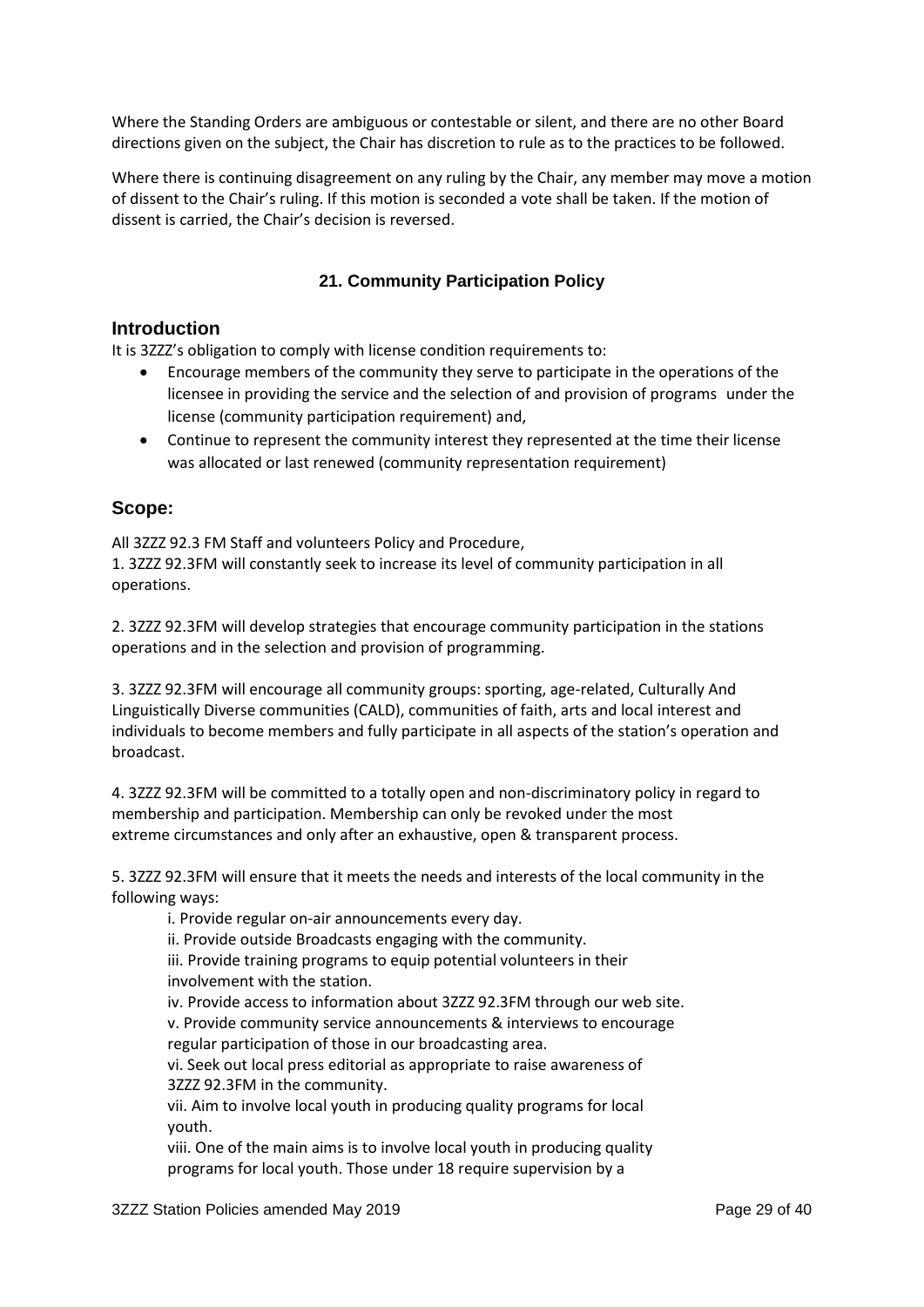Where the Standing Orders are ambiguous or contestable or silent, and there are no other Board directions given on the subject, the Chair has discretion to rule as to the practices to be followed.

Where there is continuing disagreement on any ruling by the Chair, any member may move a motion of dissent to the Chair's ruling. If this motion is seconded a vote shall be taken. If the motion of dissent is carried, the Chair's decision is reversed.

#### **21. Community Participation Policy**

#### **Introduction**

It is 3ZZZ's obligation to comply with license condition requirements to:

- Encourage members of the community they serve to participate in the operations of the licensee in providing the service and the selection of and provision of programs under the license (community participation requirement) and,
- Continue to represent the community interest they represented at the time their license was allocated or last renewed (community representation requirement)

#### **Scope:**

All 3ZZZ 92.3 FM Staff and volunteers Policy and Procedure,

1. 3ZZZ 92.3FM will constantly seek to increase its level of community participation in all operations.

2. 3ZZZ 92.3FM will develop strategies that encourage community participation in the stations operations and in the selection and provision of programming.

3. 3ZZZ 92.3FM will encourage all community groups: sporting, age-related, Culturally And Linguistically Diverse communities (CALD), communities of faith, arts and local interest and individuals to become members and fully participate in all aspects of the station's operation and broadcast.

4. 3ZZZ 92.3FM will be committed to a totally open and non-discriminatory policy in regard to membership and participation. Membership can only be revoked under the most extreme circumstances and only after an exhaustive, open & transparent process.

5. 3ZZZ 92.3FM will ensure that it meets the needs and interests of the local community in the following ways:

i. Provide regular on-air announcements every day.

ii. Provide outside Broadcasts engaging with the community.

iii. Provide training programs to equip potential volunteers in their involvement with the station.

iv. Provide access to information about 3ZZZ 92.3FM through our web site.

v. Provide community service announcements & interviews to encourage regular participation of those in our broadcasting area.

vi. Seek out local press editorial as appropriate to raise awareness of 3ZZZ 92.3FM in the community.

vii. Aim to involve local youth in producing quality programs for local youth.

viii. One of the main aims is to involve local youth in producing quality programs for local youth. Those under 18 require supervision by a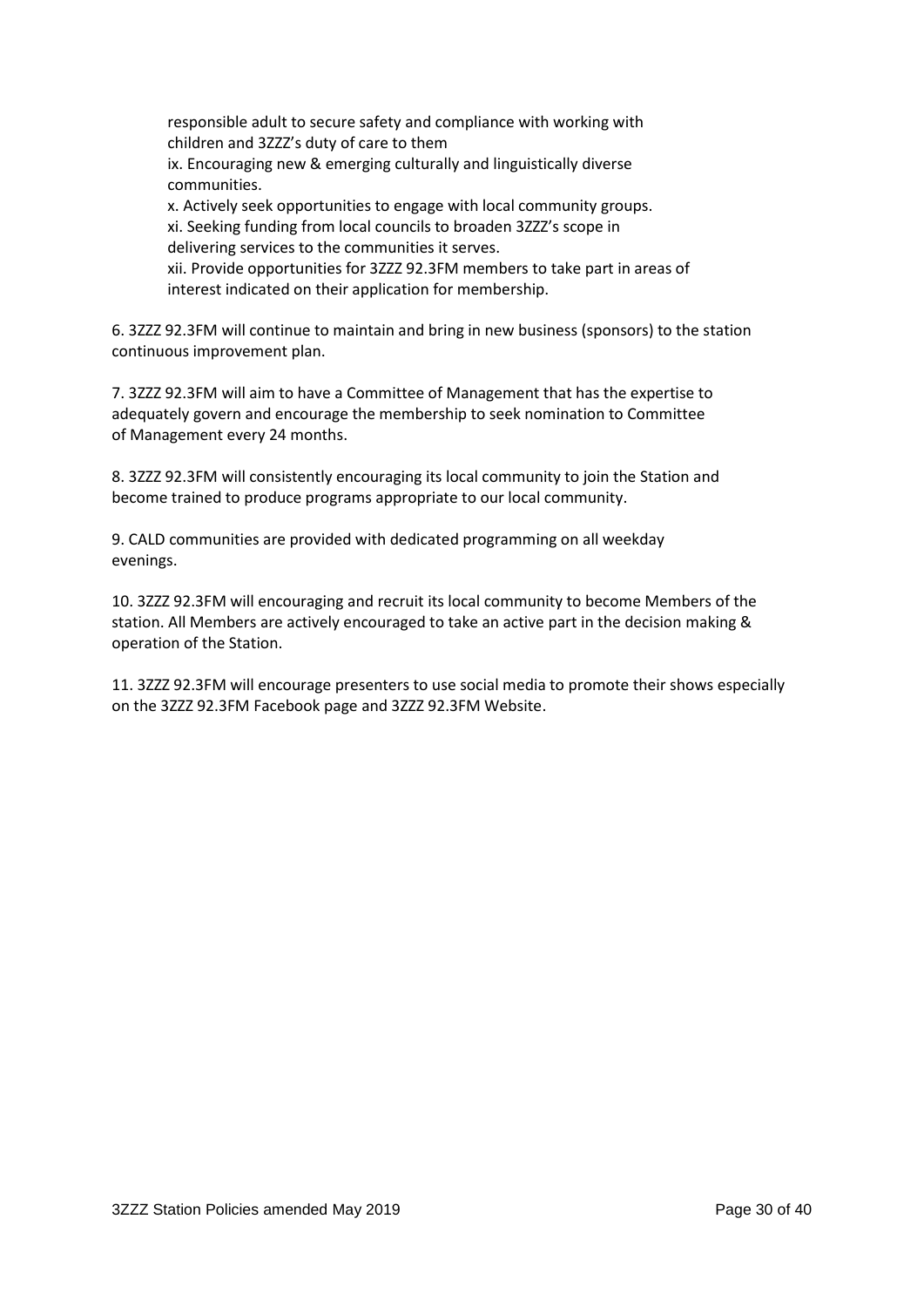responsible adult to secure safety and compliance with working with children and 3ZZZ's duty of care to them ix. Encouraging new & emerging culturally and linguistically diverse communities. x. Actively seek opportunities to engage with local community groups. xi. Seeking funding from local councils to broaden 3ZZZ's scope in delivering services to the communities it serves.

xii. Provide opportunities for 3ZZZ 92.3FM members to take part in areas of interest indicated on their application for membership.

6. 3ZZZ 92.3FM will continue to maintain and bring in new business (sponsors) to the station continuous improvement plan.

7. 3ZZZ 92.3FM will aim to have a Committee of Management that has the expertise to adequately govern and encourage the membership to seek nomination to Committee of Management every 24 months.

8. 3ZZZ 92.3FM will consistently encouraging its local community to join the Station and become trained to produce programs appropriate to our local community.

9. CALD communities are provided with dedicated programming on all weekday evenings.

10. 3ZZZ 92.3FM will encouraging and recruit its local community to become Members of the station. All Members are actively encouraged to take an active part in the decision making & operation of the Station.

11. 3ZZZ 92.3FM will encourage presenters to use social media to promote their shows especially on the 3ZZZ 92.3FM Facebook page and 3ZZZ 92.3FM Website.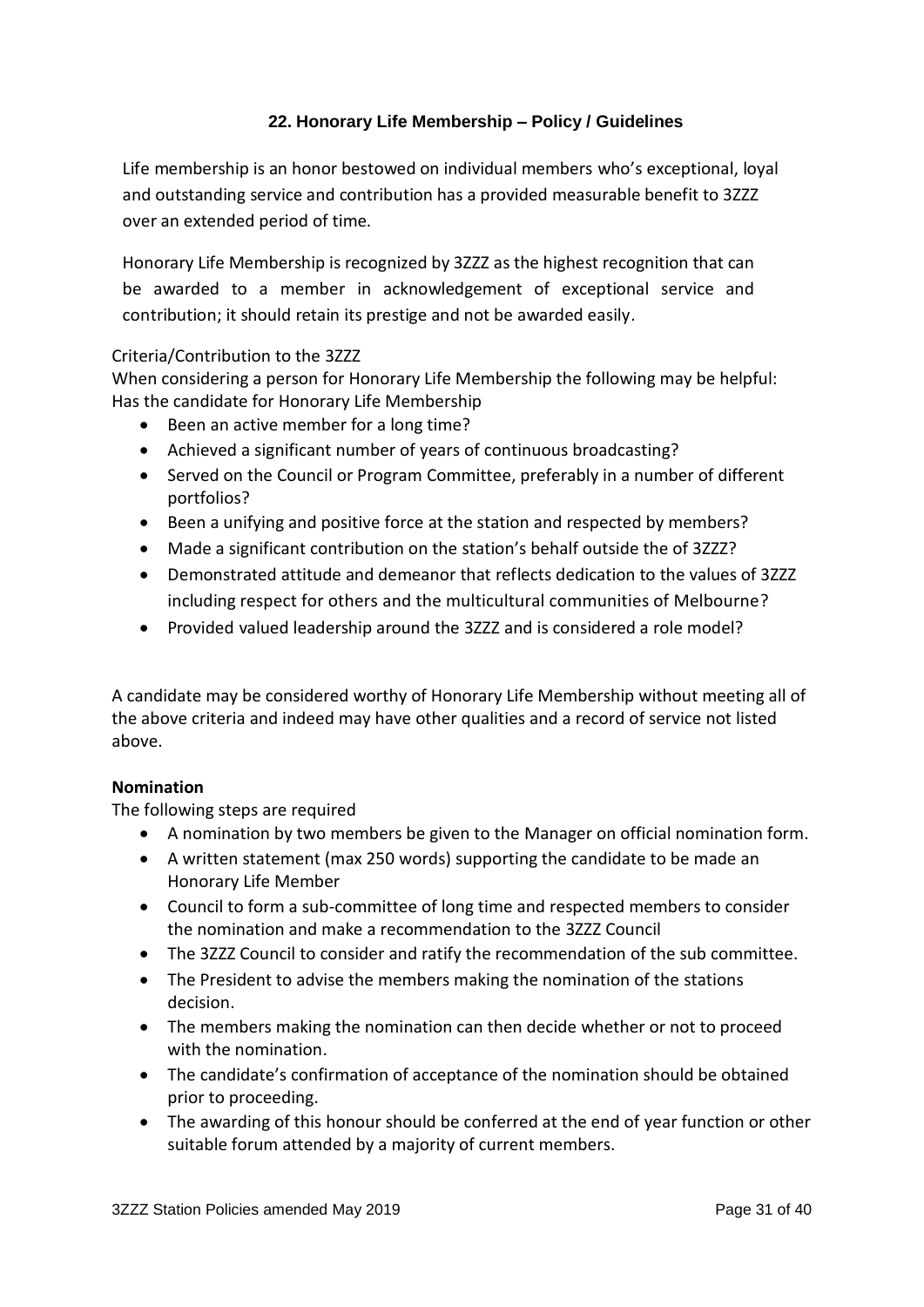# **22. Honorary Life Membership – Policy / Guidelines**

Life membership is an honor bestowed on individual members who's exceptional, loyal and outstanding service and contribution has a provided measurable benefit to 3ZZZ over an extended period of time.

Honorary Life Membership is recognized by 3ZZZ as the highest recognition that can be awarded to a member in acknowledgement of exceptional service and contribution; it should retain its prestige and not be awarded easily.

#### Criteria/Contribution to the 3ZZZ

When considering a person for Honorary Life Membership the following may be helpful: Has the candidate for Honorary Life Membership

- Been an active member for a long time?
- Achieved a significant number of years of continuous broadcasting?
- Served on the Council or Program Committee, preferably in a number of different portfolios?
- Been a unifying and positive force at the station and respected by members?
- Made a significant contribution on the station's behalf outside the of 3ZZZ?
- Demonstrated attitude and demeanor that reflects dedication to the values of 3ZZZ including respect for others and the multicultural communities of Melbourne?
- Provided valued leadership around the 3ZZZ and is considered a role model?

A candidate may be considered worthy of Honorary Life Membership without meeting all of the above criteria and indeed may have other qualities and a record of service not listed above.

#### **Nomination**

The following steps are required

- A nomination by two members be given to the Manager on official nomination form.
- A written statement (max 250 words) supporting the candidate to be made an Honorary Life Member
- Council to form a sub-committee of long time and respected members to consider the nomination and make a recommendation to the 3ZZZ Council
- The 3ZZZ Council to consider and ratify the recommendation of the sub committee.
- The President to advise the members making the nomination of the stations decision.
- The members making the nomination can then decide whether or not to proceed with the nomination.
- The candidate's confirmation of acceptance of the nomination should be obtained prior to proceeding.
- The awarding of this honour should be conferred at the end of year function or other suitable forum attended by a majority of current members.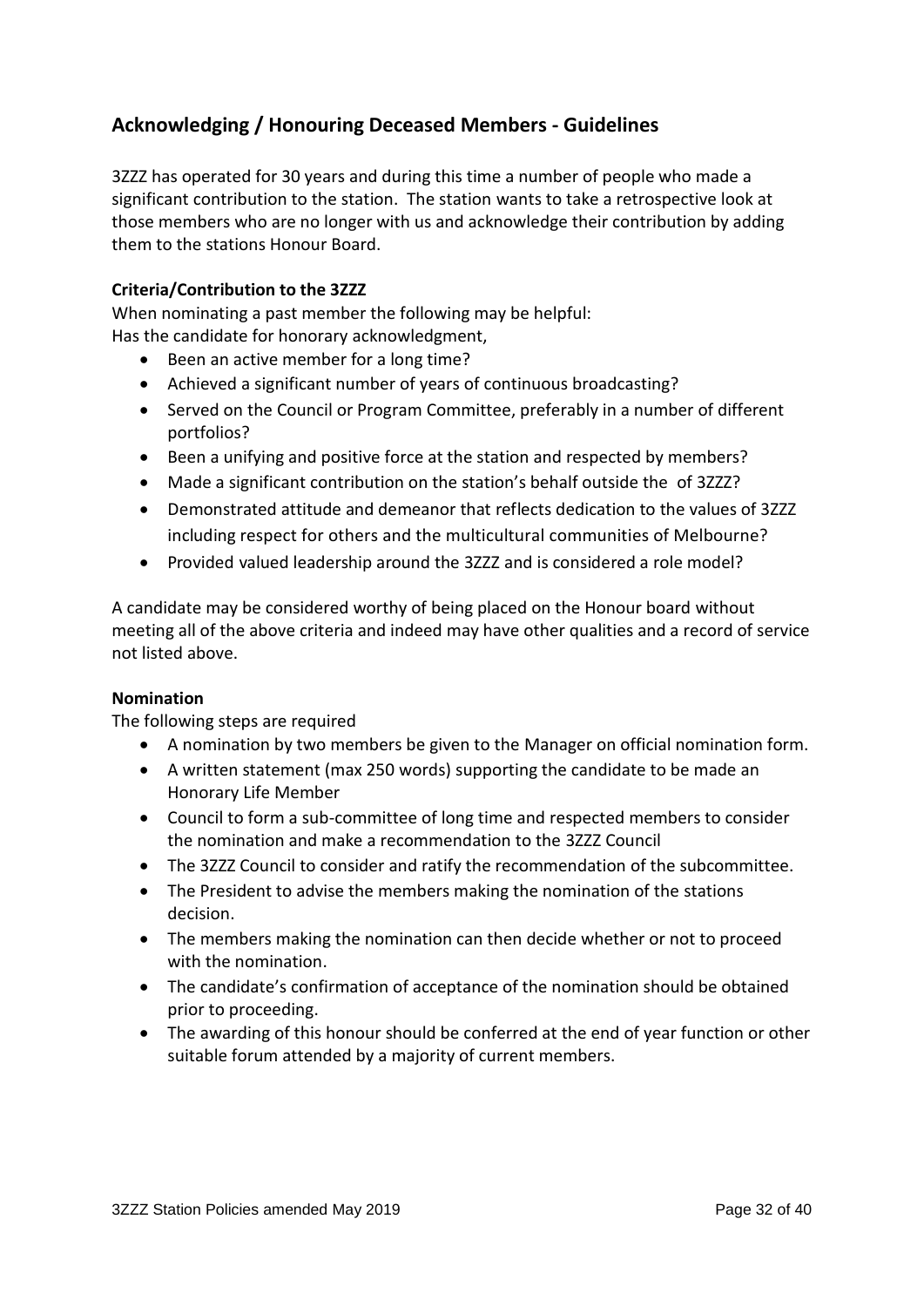# **Acknowledging / Honouring Deceased Members - Guidelines**

3ZZZ has operated for 30 years and during this time a number of people who made a significant contribution to the station. The station wants to take a retrospective look at those members who are no longer with us and acknowledge their contribution by adding them to the stations Honour Board.

#### **Criteria/Contribution to the 3ZZZ**

When nominating a past member the following may be helpful: Has the candidate for honorary acknowledgment,

- Been an active member for a long time?
- Achieved a significant number of years of continuous broadcasting?
- Served on the Council or Program Committee, preferably in a number of different portfolios?
- Been a unifying and positive force at the station and respected by members?
- Made a significant contribution on the station's behalf outside the of 3ZZZ?
- Demonstrated attitude and demeanor that reflects dedication to the values of 3ZZZ including respect for others and the multicultural communities of Melbourne?
- Provided valued leadership around the 3ZZZ and is considered a role model?

A candidate may be considered worthy of being placed on the Honour board without meeting all of the above criteria and indeed may have other qualities and a record of service not listed above.

#### **Nomination**

The following steps are required

- A nomination by two members be given to the Manager on official nomination form.
- A written statement (max 250 words) supporting the candidate to be made an Honorary Life Member
- Council to form a sub-committee of long time and respected members to consider the nomination and make a recommendation to the 3ZZZ Council
- The 3ZZZ Council to consider and ratify the recommendation of the subcommittee.
- The President to advise the members making the nomination of the stations decision.
- The members making the nomination can then decide whether or not to proceed with the nomination.
- The candidate's confirmation of acceptance of the nomination should be obtained prior to proceeding.
- The awarding of this honour should be conferred at the end of year function or other suitable forum attended by a majority of current members.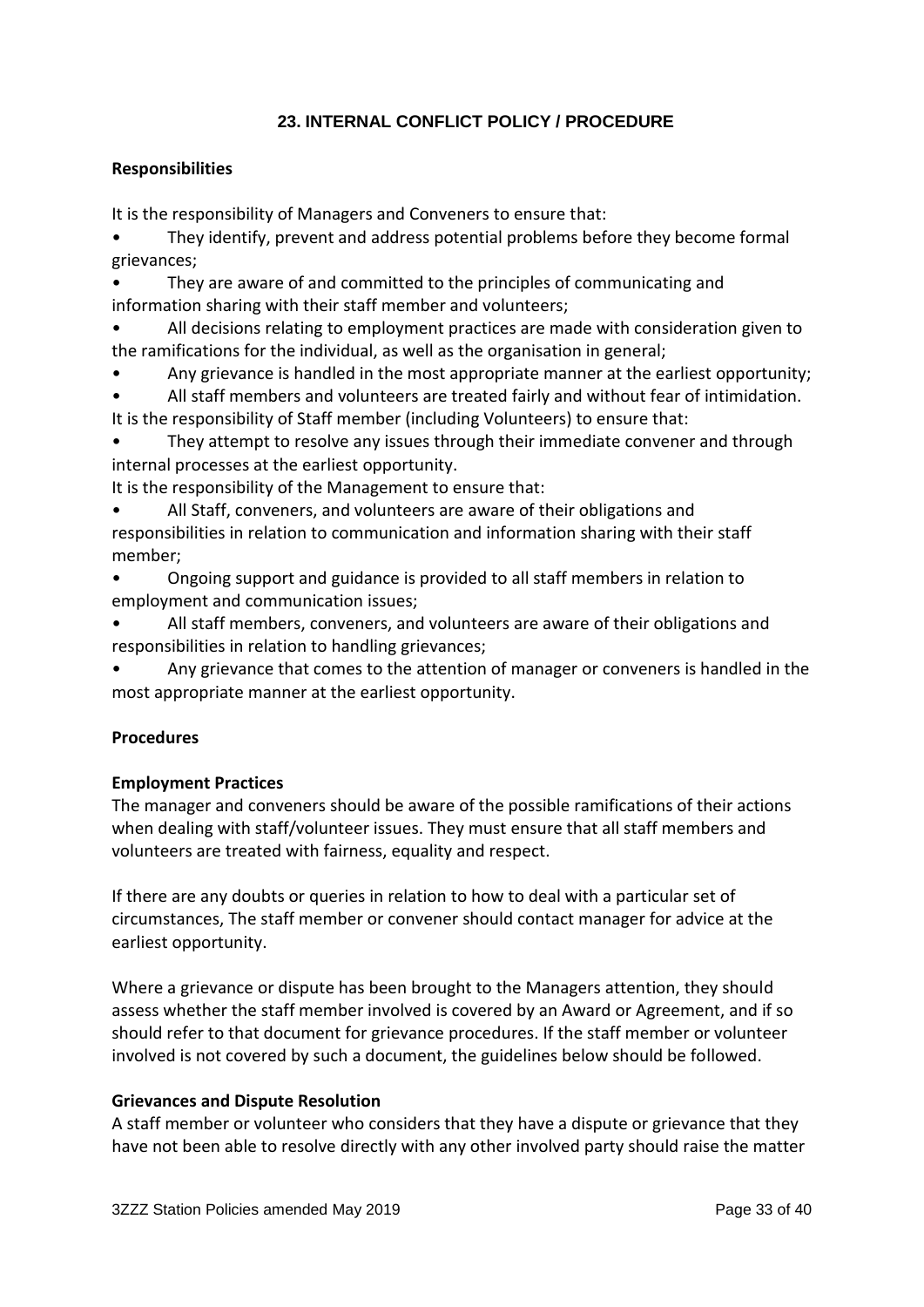# **23. INTERNAL CONFLICT POLICY / PROCEDURE**

#### **Responsibilities**

It is the responsibility of Managers and Conveners to ensure that:

- They identify, prevent and address potential problems before they become formal grievances;
- They are aware of and committed to the principles of communicating and information sharing with their staff member and volunteers;
- All decisions relating to employment practices are made with consideration given to the ramifications for the individual, as well as the organisation in general;
- Any grievance is handled in the most appropriate manner at the earliest opportunity;
- All staff members and volunteers are treated fairly and without fear of intimidation.
- It is the responsibility of Staff member (including Volunteers) to ensure that:
- They attempt to resolve any issues through their immediate convener and through internal processes at the earliest opportunity.

It is the responsibility of the Management to ensure that:

- All Staff, conveners, and volunteers are aware of their obligations and responsibilities in relation to communication and information sharing with their staff member;
- Ongoing support and guidance is provided to all staff members in relation to employment and communication issues;
- All staff members, conveners, and volunteers are aware of their obligations and responsibilities in relation to handling grievances;
- Any grievance that comes to the attention of manager or conveners is handled in the most appropriate manner at the earliest opportunity.

# **Procedures**

#### **Employment Practices**

The manager and conveners should be aware of the possible ramifications of their actions when dealing with staff/volunteer issues. They must ensure that all staff members and volunteers are treated with fairness, equality and respect.

If there are any doubts or queries in relation to how to deal with a particular set of circumstances, The staff member or convener should contact manager for advice at the earliest opportunity.

Where a grievance or dispute has been brought to the Managers attention, they should assess whether the staff member involved is covered by an Award or Agreement, and if so should refer to that document for grievance procedures. If the staff member or volunteer involved is not covered by such a document, the guidelines below should be followed.

#### **Grievances and Dispute Resolution**

A staff member or volunteer who considers that they have a dispute or grievance that they have not been able to resolve directly with any other involved party should raise the matter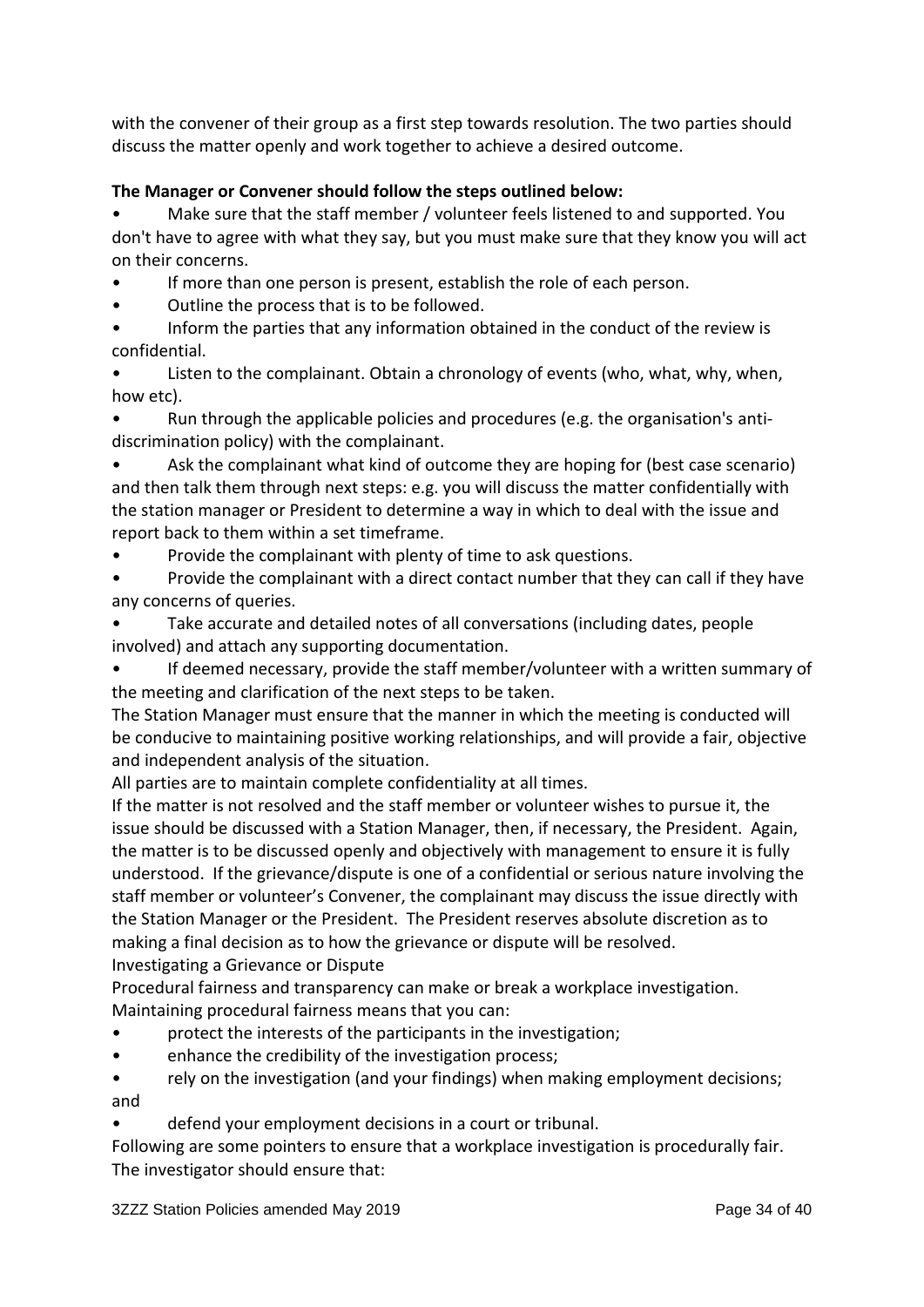with the convener of their group as a first step towards resolution. The two parties should discuss the matter openly and work together to achieve a desired outcome.

# **The Manager or Convener should follow the steps outlined below:**

• Make sure that the staff member / volunteer feels listened to and supported. You don't have to agree with what they say, but you must make sure that they know you will act on their concerns.

If more than one person is present, establish the role of each person.

• Outline the process that is to be followed.

• Inform the parties that any information obtained in the conduct of the review is confidential.

Listen to the complainant. Obtain a chronology of events (who, what, why, when, how etc).

• Run through the applicable policies and procedures (e.g. the organisation's antidiscrimination policy) with the complainant.

Ask the complainant what kind of outcome they are hoping for (best case scenario) and then talk them through next steps: e.g. you will discuss the matter confidentially with the station manager or President to determine a way in which to deal with the issue and report back to them within a set timeframe.

• Provide the complainant with plenty of time to ask questions.

• Provide the complainant with a direct contact number that they can call if they have any concerns of queries.

Take accurate and detailed notes of all conversations (including dates, people involved) and attach any supporting documentation.

• If deemed necessary, provide the staff member/volunteer with a written summary of the meeting and clarification of the next steps to be taken.

The Station Manager must ensure that the manner in which the meeting is conducted will be conducive to maintaining positive working relationships, and will provide a fair, objective and independent analysis of the situation.

All parties are to maintain complete confidentiality at all times.

If the matter is not resolved and the staff member or volunteer wishes to pursue it, the issue should be discussed with a Station Manager, then, if necessary, the President. Again, the matter is to be discussed openly and objectively with management to ensure it is fully understood. If the grievance/dispute is one of a confidential or serious nature involving the staff member or volunteer's Convener, the complainant may discuss the issue directly with the Station Manager or the President. The President reserves absolute discretion as to making a final decision as to how the grievance or dispute will be resolved. Investigating a Grievance or Dispute

Procedural fairness and transparency can make or break a workplace investigation. Maintaining procedural fairness means that you can:

- protect the interests of the participants in the investigation;
- enhance the credibility of the investigation process;

• rely on the investigation (and your findings) when making employment decisions; and

• defend your employment decisions in a court or tribunal.

Following are some pointers to ensure that a workplace investigation is procedurally fair. The investigator should ensure that: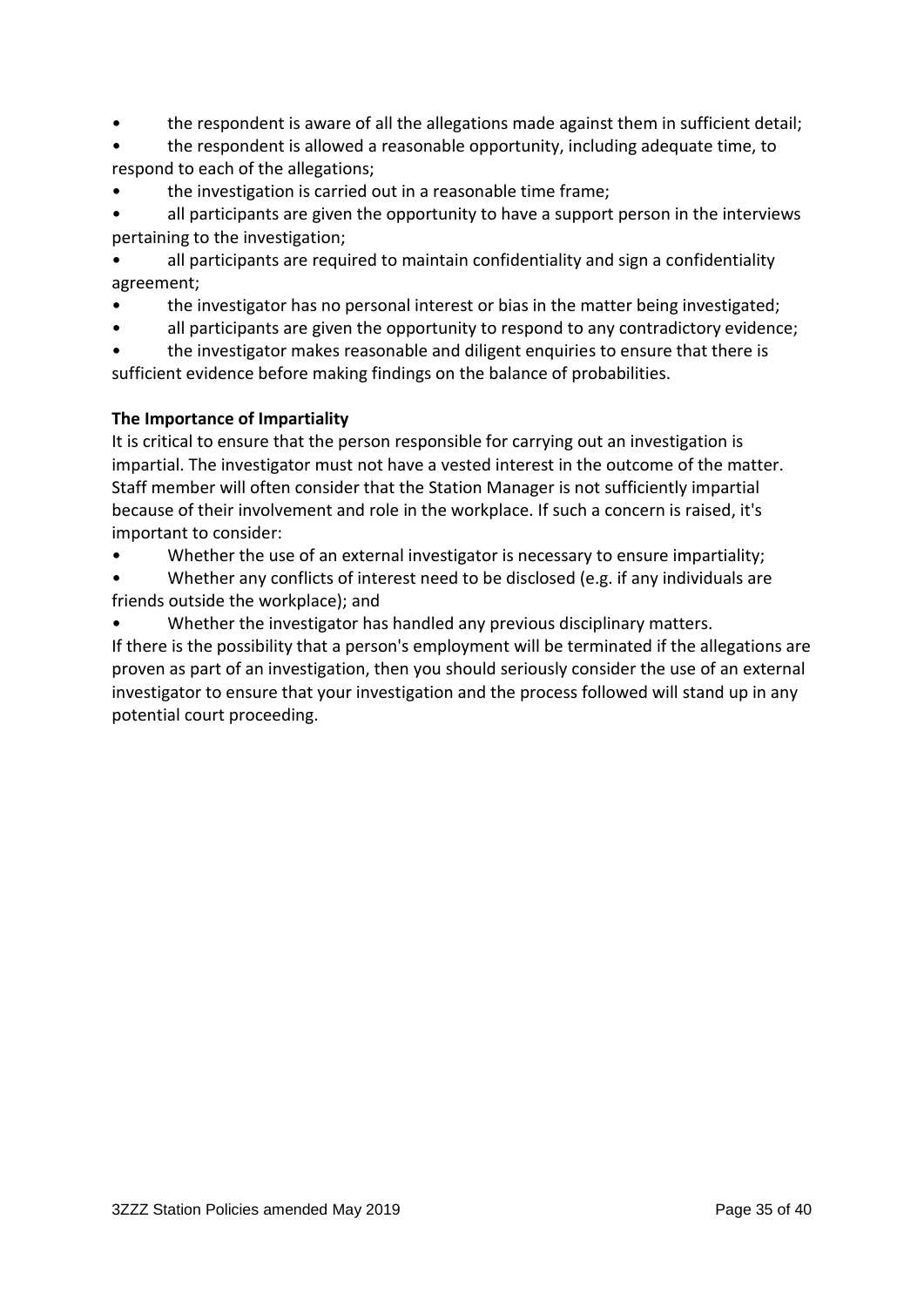- the respondent is aware of all the allegations made against them in sufficient detail;
- the respondent is allowed a reasonable opportunity, including adequate time, to respond to each of the allegations;
- the investigation is carried out in a reasonable time frame;

all participants are given the opportunity to have a support person in the interviews pertaining to the investigation;

- all participants are required to maintain confidentiality and sign a confidentiality agreement;
- the investigator has no personal interest or bias in the matter being investigated;
- all participants are given the opportunity to respond to any contradictory evidence;

• the investigator makes reasonable and diligent enquiries to ensure that there is sufficient evidence before making findings on the balance of probabilities.

# **The Importance of Impartiality**

It is critical to ensure that the person responsible for carrying out an investigation is impartial. The investigator must not have a vested interest in the outcome of the matter. Staff member will often consider that the Station Manager is not sufficiently impartial because of their involvement and role in the workplace. If such a concern is raised, it's important to consider:

- Whether the use of an external investigator is necessary to ensure impartiality;
- Whether any conflicts of interest need to be disclosed (e.g. if any individuals are friends outside the workplace); and
- Whether the investigator has handled any previous disciplinary matters.

If there is the possibility that a person's employment will be terminated if the allegations are proven as part of an investigation, then you should seriously consider the use of an external investigator to ensure that your investigation and the process followed will stand up in any potential court proceeding.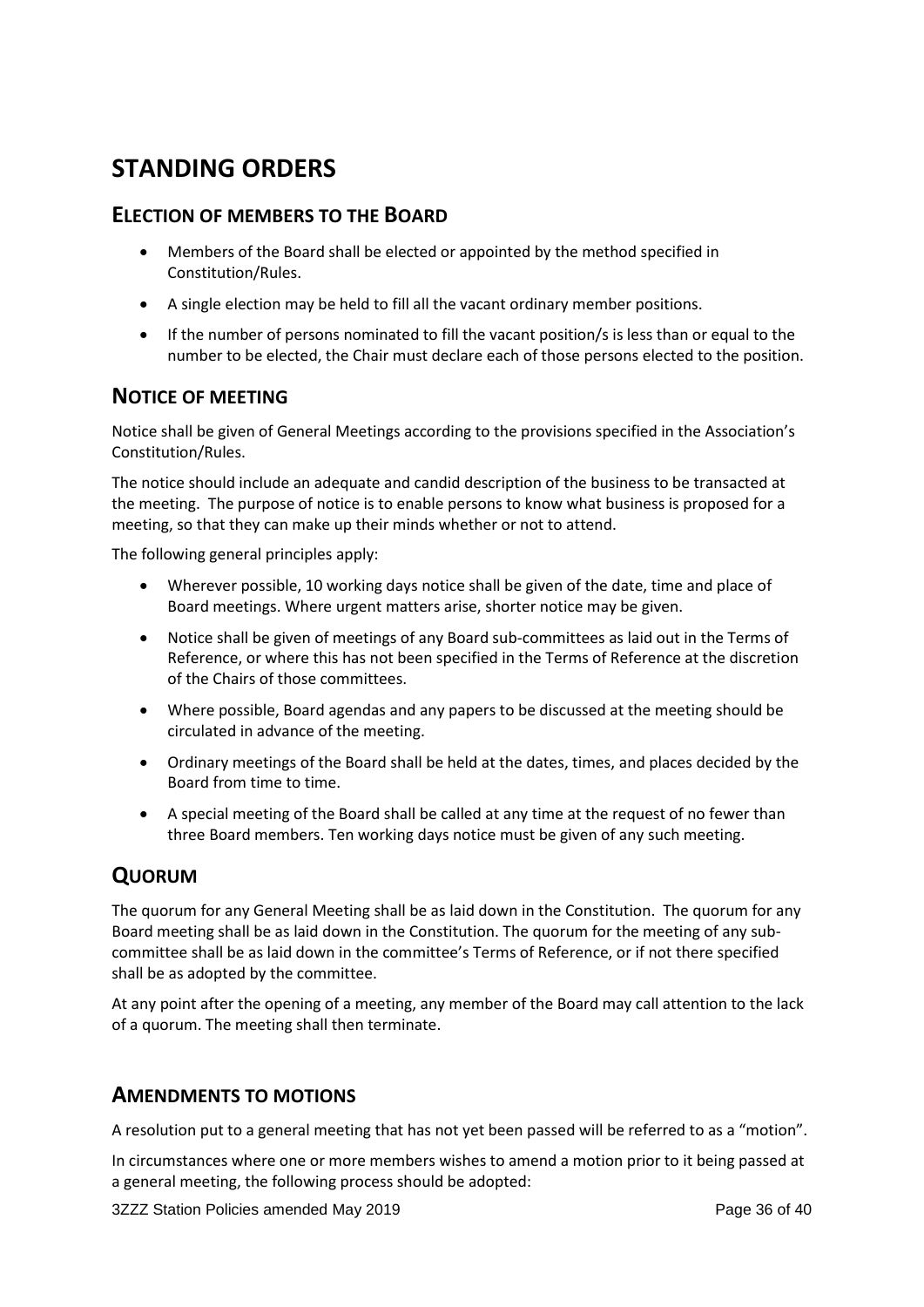# **STANDING ORDERS**

# **ELECTION OF MEMBERS TO THE BOARD**

- Members of the Board shall be elected or appointed by the method specified in Constitution/Rules.
- A single election may be held to fill all the vacant ordinary member positions.
- If the number of persons nominated to fill the vacant position/s is less than or equal to the number to be elected, the Chair must declare each of those persons elected to the position.

# **NOTICE OF MEETING**

Notice shall be given of General Meetings according to the provisions specified in the Association's Constitution/Rules.

The notice should include an adequate and candid description of the business to be transacted at the meeting. The purpose of notice is to enable persons to know what business is proposed for a meeting, so that they can make up their minds whether or not to attend.

The following general principles apply:

- Wherever possible, 10 working days notice shall be given of the date, time and place of Board meetings. Where urgent matters arise, shorter notice may be given.
- Notice shall be given of meetings of any Board sub-committees as laid out in the Terms of Reference, or where this has not been specified in the Terms of Reference at the discretion of the Chairs of those committees.
- Where possible, Board agendas and any papers to be discussed at the meeting should be circulated in advance of the meeting.
- Ordinary meetings of the Board shall be held at the dates, times, and places decided by the Board from time to time.
- A special meeting of the Board shall be called at any time at the request of no fewer than three Board members. Ten working days notice must be given of any such meeting.

# **QUORUM**

The quorum for any General Meeting shall be as laid down in the Constitution. The quorum for any Board meeting shall be as laid down in the Constitution. The quorum for the meeting of any subcommittee shall be as laid down in the committee's Terms of Reference, or if not there specified shall be as adopted by the committee.

At any point after the opening of a meeting, any member of the Board may call attention to the lack of a quorum. The meeting shall then terminate.

# **AMENDMENTS TO MOTIONS**

A resolution put to a general meeting that has not yet been passed will be referred to as a "motion".

In circumstances where one or more members wishes to amend a motion prior to it being passed at a general meeting, the following process should be adopted:

3ZZZ Station Policies amended May 2019 **Page 36 of 40** Page 36 of 40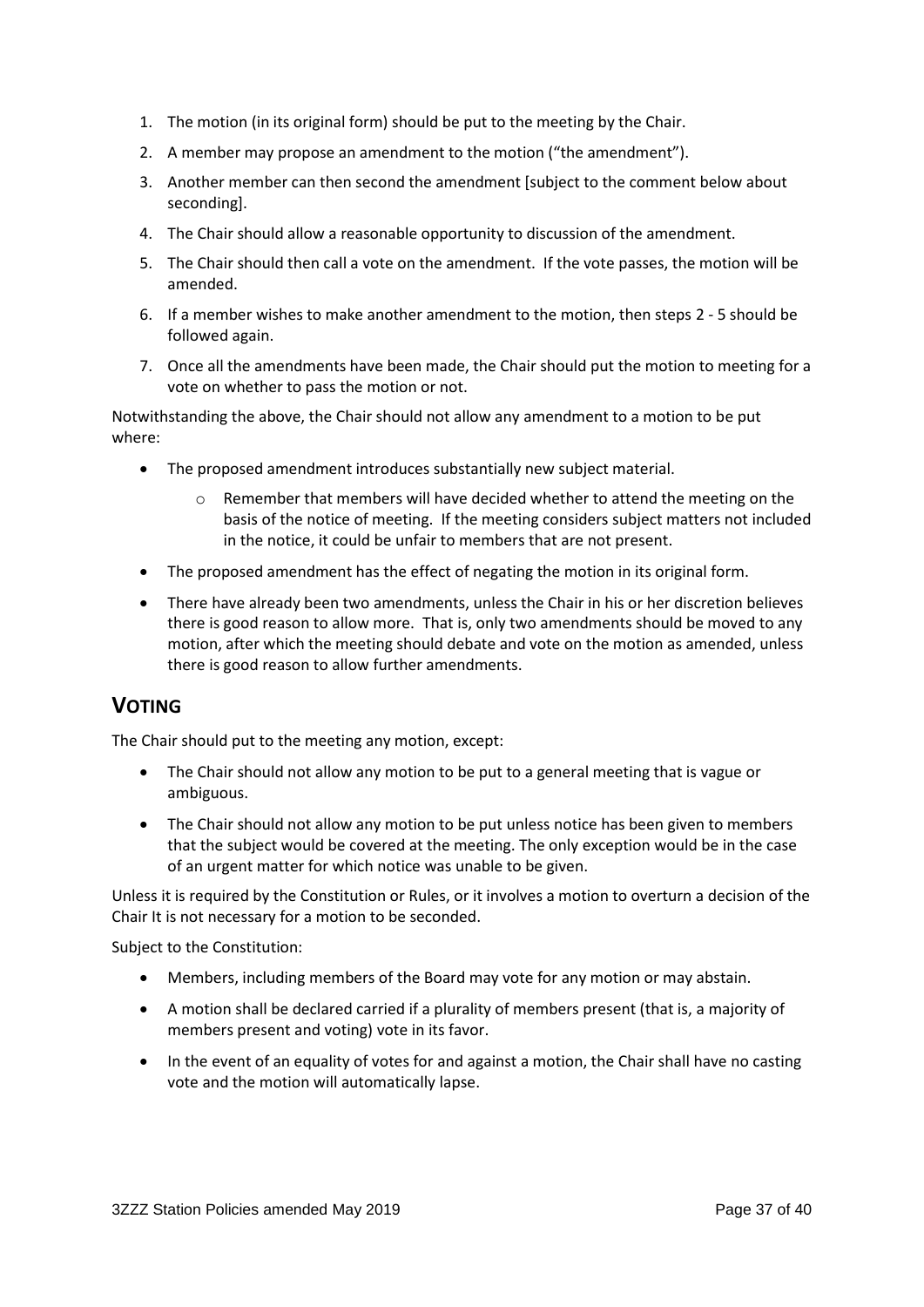- 1. The motion (in its original form) should be put to the meeting by the Chair.
- <span id="page-36-0"></span>2. A member may propose an amendment to the motion ("the amendment").
- 3. Another member can then second the amendment [subject to the comment below about seconding].
- 4. The Chair should allow a reasonable opportunity to discussion of the amendment.
- <span id="page-36-1"></span>5. The Chair should then call a vote on the amendment. If the vote passes, the motion will be amended.
- 6. If a member wishes to make another amendment to the motion, then steps [2](#page-36-0) [5](#page-36-1) should be followed again.
- 7. Once all the amendments have been made, the Chair should put the motion to meeting for a vote on whether to pass the motion or not.

Notwithstanding the above, the Chair should not allow any amendment to a motion to be put where:

- The proposed amendment introduces substantially new subject material.
	- o Remember that members will have decided whether to attend the meeting on the basis of the notice of meeting. If the meeting considers subject matters not included in the notice, it could be unfair to members that are not present.
- The proposed amendment has the effect of negating the motion in its original form.
- There have already been two amendments, unless the Chair in his or her discretion believes there is good reason to allow more. That is, only two amendments should be moved to any motion, after which the meeting should debate and vote on the motion as amended, unless there is good reason to allow further amendments.

# **VOTING**

The Chair should put to the meeting any motion, except:

- The Chair should not allow any motion to be put to a general meeting that is vague or ambiguous.
- The Chair should not allow any motion to be put unless notice has been given to members that the subject would be covered at the meeting. The only exception would be in the case of an urgent matter for which notice was unable to be given.

Unless it is required by the Constitution or Rules, or it involves a motion to overturn a decision of the Chair It is not necessary for a motion to be seconded.

Subject to the Constitution:

- Members, including members of the Board may vote for any motion or may abstain.
- A motion shall be declared carried if a plurality of members present (that is, a majority of members present and voting) vote in its favor.
- In the event of an equality of votes for and against a motion, the Chair shall have no casting vote and the motion will automatically lapse.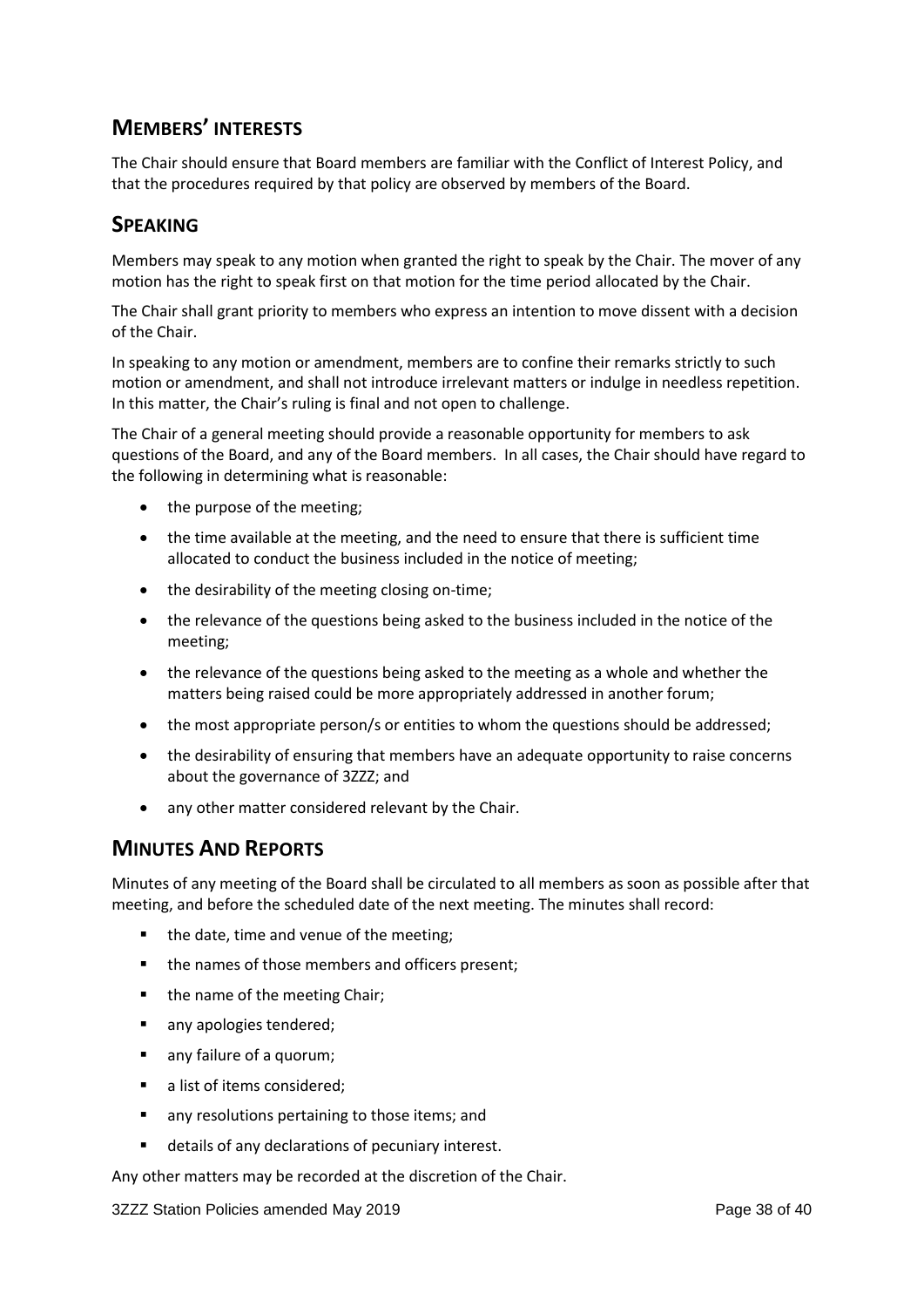# **MEMBERS' INTERESTS**

The Chair should ensure that Board members are familiar with the Conflict of Interest Policy, and that the procedures required by that policy are observed by members of the Board.

# **SPEAKING**

Members may speak to any motion when granted the right to speak by the Chair. The mover of any motion has the right to speak first on that motion for the time period allocated by the Chair.

The Chair shall grant priority to members who express an intention to move dissent with a decision of the Chair.

In speaking to any motion or amendment, members are to confine their remarks strictly to such motion or amendment, and shall not introduce irrelevant matters or indulge in needless repetition. In this matter, the Chair's ruling is final and not open to challenge.

The Chair of a general meeting should provide a reasonable opportunity for members to ask questions of the Board, and any of the Board members. In all cases, the Chair should have regard to the following in determining what is reasonable:

- the purpose of the meeting;
- the time available at the meeting, and the need to ensure that there is sufficient time allocated to conduct the business included in the notice of meeting;
- the desirability of the meeting closing on-time;
- the relevance of the questions being asked to the business included in the notice of the meeting;
- the relevance of the questions being asked to the meeting as a whole and whether the matters being raised could be more appropriately addressed in another forum;
- the most appropriate person/s or entities to whom the questions should be addressed;
- the desirability of ensuring that members have an adequate opportunity to raise concerns about the governance of 3ZZZ; and
- any other matter considered relevant by the Chair.

# **MINUTES AND REPORTS**

Minutes of any meeting of the Board shall be circulated to all members as soon as possible after that meeting, and before the scheduled date of the next meeting. The minutes shall record:

- the date, time and venue of the meeting;
- the names of those members and officers present;
- the name of the meeting Chair;
- any apologies tendered;
- any failure of a quorum;
- a list of items considered;
- **n** any resolutions pertaining to those items; and
- details of any declarations of pecuniary interest.

Any other matters may be recorded at the discretion of the Chair.